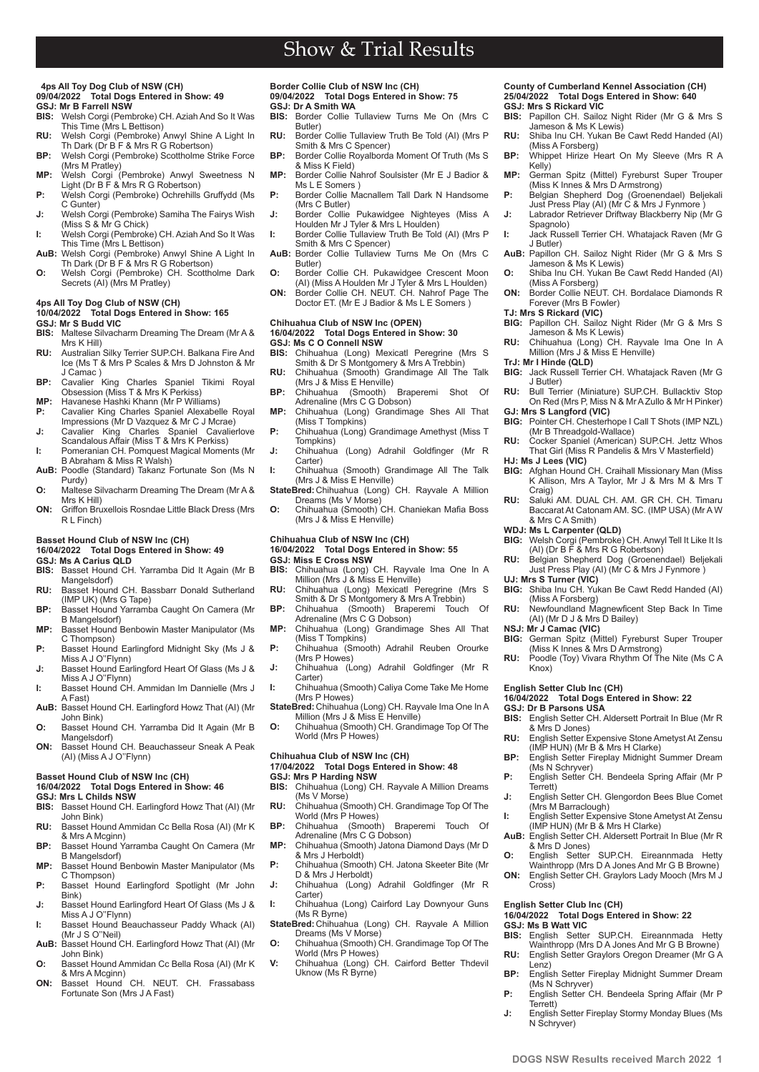## Show & Trial Results

#### **4ps All Toy Dog Club of NSW (CH) 09/04/2022 Total Dogs Entered in Show: 49**

- **GSJ: Mr B Farrell NSW**<br>**BIS:** Welsh Corgi (Pem **BIS:** Welsh Corgi (Pembroke) CH. Aziah And So It Was This Time (Mrs L Bettison)
- **RU:** Welsh Corgi (Pembroke) Anwyl Shine A Light In Th Dark (Dr B F & Mrs R G Robertson)
- **BP:** Welsh Corgi (Pembroke) Scottholme Strike Force (Mrs M Pratley)
- **MP:** Welsh Corgi (Pembroke) Anwyl Sweetness N Light (Dr B F & Mrs R G Robertson) **P:** Welsh Corgi (Pembroke) Ochrehills Gruffydd (Ms
- C Gunter) **J:** Welsh Corgi (Pembroke) Samiha The Fairys Wish
- (Miss S & Mr G Chick) **I:** Welsh Corgi (Pembroke) CH. Aziah And So It Was
- This Time (Mrs L Bettison)
- **AuB:** Welsh Corgi (Pembroke) Anwyl Shine A Light In Th Dark (Dr B F & Mrs R G Robertson) **O:** Welsh Corgi (Pembroke) CH. Scottholme Dark Secrets (AI) (Mrs M Pratley)
- 

## **4ps All Toy Dog Club of NSW (CH)**

#### **10/04/2022 Total Dogs Entered in Show: 165 GSJ: Mr S Budd VIC**

- **BIS:** Maltese Silvacharm Dreaming The Dream (Mr A & Mrs K Hill)
- **RU:** Australian Silky Terrier SUP.CH. Balkana Fire And Ice (Ms T & Mrs P Scales & Mrs D Johnston & Mr J Camac ) **BP:** Cavalier King Charles Spaniel Tikimi Royal
- Obsession (Miss T & Mrs K Perkiss) **MP:** Havanese Hashki Khann (Mr P Williams)
- 
- **P:** Cavalier King Charles Spaniel Alexabelle Royal Impressions (Mr D Vazquez & Mr C J Mcrae) **J:** Cavalier King Charles Spaniel Cavalierlove
- Scandalous Affair (Miss T & Mrs K Perkiss) **I:** Pomeranian CH. Pomquest Magical Moments (Mr
- B Abraham & Miss R Walsh) AuB: Poodle (Standard) Takanz Fortunate Son (Ms N
- Purdy) **O:** Maltese Silvacharm Dreaming The Dream (Mr A &
- Mrs K Hill) **ON:** Griffon Bruxellois Rosndae Little Black Dress (Mrs
- R L Finch)

## **Basset Hound Club of NSW Inc (CH)**

## **16/04/2022 Total Dogs Entered in Show: 49**

- **GSJ: Ms A Carius QLD**<br>**BIS:** Basset Hound CH Basset Hound CH. Yarramba Did It Again (Mr B Mangelsdorf)
- **RU:** Basset Hound CH. Bassbarr Donald Sutherland (IMP UK) (Mrs G Tape)
- **BP:** Basset Hound Yarramba Caught On Camera (Mr B Mangelsdorf)
- **MP:** Basset Hound Benbowin Master Manipulator (Ms C Thompson)
- **P:** Basset Hound Earlingford Midnight Sky (Ms J & Miss A J O''Flynn)
- **J:** Basset Hound Earlingford Heart Of Glass (Ms J & Miss A J O''Flynn) **I:** Basset Hound CH. Ammidan Im Dannielle (Mrs J
- A Fast) **AuB:** Basset Hound CH. Earlingford Howz That (AI) (Mr
- John Bink) **O:** Basset Hound CH. Yarramba Did It Again (Mr B
- Mangelsdorf) **ON:** Basset Hound CH. Beauchasseur Sneak A Peak
- (AI) (Miss A J O''Flynn)

### **Basset Hound Club of NSW Inc (CH)**

#### **16/04/2022 Total Dogs Entered in Show: 46 GSJ: Mrs L Childs NSW**

- **BIS:** Basset Hound CH. Earlingford Howz That (AI) (Mr John Bink)
- **RU:** Basset Hound Ammidan Cc Bella Rosa (AI) (Mr K & Mrs A Mcginn)
- **BP:** Basset Hound Yarramba Caught On Camera (Mr B Mangelsdorf) **MP:** Basset Hound Benbowin Master Manipulator (Ms
- C Thompson) P: Basset Hound Earlingford Spotlight (Mr John
- Bink) **J:** Basset Hound Earlingford Heart Of Glass (Ms J &
- Miss A J O''Flynn) **I:** Basset Hound Beauchasseur Paddy Whack (AI)
- (Mr J S O''Neil) **AuB:** Basset Hound CH. Earlingford Howz That (AI) (Mr
- John Bink) **O:** Basset Hound Ammidan Cc Bella Rosa (AI) (Mr K
- & Mrs A Mcginn)
- **ON:** Basset Hound CH. NEUT. CH. Frassabass Fortunate Son (Mrs J A Fast)

**PB www.dogsnsw.org.au DOGS NSW Results received March 2022 1**

## **Border Collie Club of NSW Inc (CH) 09/04/2022 Total Dogs Entered in Show: 75**

- **GSJ: Dr A Smith WA**<br>**BIS:** Border Collie **BIS:** Border Collie Tullaview Turns Me On (Mrs C Butler)
- **RU:** Border Collie Tullaview Truth Be Told (AI) (Mrs P Smith & Mrs C Spencer)
- **BP:** Border Collie Royalborda Moment Of Truth (Ms S & Miss K Field)
- **MP:** Border Collie Nahrof Soulsister (Mr E J Badior & Ms L E Somers )
- **P:** Border Collie Macnallem Tall Dark N Handsome (Mrs C Butler) **J:** Border Collie Pukawidgee Nighteyes (Miss A
- Houlden Mr J Tyler & Mrs L Houlden)
- **I:** Border Collie Tullaview Truth Be Told (AI) (Mrs P Smith & Mrs C Spencer) **AuB:** Border Collie Tullaview Turns Me On (Mrs C Butler)
- 
- **O:** Border Collie CH. Pukawidgee Crescent Moon (AI) (Miss A Houlden Mr J Tyler & Mrs L Houlden) **ON:** Border Collie CH. NEUT. CH. Nahrof Page The Doctor ET. (Mr E J Badior & Ms L E Somers )
- 

## **Chihuahua Club of NSW Inc (OPEN)**

## **16/04/2022 Total Dogs Entered in Show: 30**

- **GSJ: Ms C O Connell NSW**<br>**BIS:** Chihuahua (Long) M **BIS:** Chihuahua (Long) Mexicatl Peregrine (Mrs S Smith & Dr S Montgomery & Mrs A Trebbin)
- **RU:** Chihuahua (Smooth) Grandimage All The Talk (Mrs J & Miss E Henville) **BP:** Chihuahua (Smooth) Braperemi Shot Of
- Chihuahua (Smooth) Brand<br>Adrenaline (Mrs C G Dobson)
- **MP:** Chihuahua (Long) Grandimage Shes All That (Miss T Tompkins)
- **P:** Chihuahua (Long) Grandimage Amethyst (Miss T Tompkins)
- **J:** Chihuahua (Long) Adrahil Goldfinger (Mr R Carter) **I:** Chihuahua (Smooth) Grandimage All The Talk
- (Mrs J & Miss E Henville) **StateBred:** Chihuahua (Long) CH. Rayvale A Million
- Dreams (Ms V Morse) **O:** Chihuahua (Smooth) CH. Chaniekan Mafia Boss
- (Mrs J & Miss E Henville)

#### **Chihuahua Club of NSW Inc (CH) 16/04/2022 Total Dogs Entered in Show: 55**

**GSJ: Miss E Cross NSW**<br>**BIS:** Chihuahua (Long)

- **BIS:** Chihuahua (Long) CH. Rayvale Ima One In A Million (Mrs J & Miss E Henville)
- **RU:** Chihuahua (Long) Mexicatl Peregrine (Mrs S
- Smith & Dr S Montgomery & Mrs A Trebbin) **BP:** Chihuahua (Smooth) Braperemi Touch Of Adrenaline (Mrs C G Dobson)
- **MP:** Chihuahua (Long) Grandimage Shes All That (Miss T Tompkins)
- **P:** Chihuahua (Smooth) Adrahil Reuben Orourke (Mrs P Howes)
- **J:** Chihuahua (Long) Adrahil Goldfinger (Mr R Carter)
- **I:** Chihuahua (Smooth) Caliya Come Take Me Home (Mrs P Howes)
- StateBred: Chihuahua (Long) CH. Rayvale Ima One In A Million (Mrs J & Miss E Henville)
- **O:** Chihuahua (Smooth) CH. Grandimage Top Of The World (Mrs P Howes)

#### **Chihuahua Club of NSW Inc (CH) 17/04/2022 Total Dogs Entered in Show: 48 GSJ: Mrs P Harding NSW**

- **BIS:** Chihuahua (Long) CH. Rayvale A Million Dreams (Ms V Morse)
- **RU:** Chihuahua (Smooth) CH. Grandimage Top Of The World (Mrs P Howes)
- **BP:** Chihuahua (Smooth) Braperemi Touch Of Adrenaline (Mrs C G Dobson)
- **MP:** Chihuahua (Smooth) Jatona Diamond Days (Mr D & Mrs J Herboldt)
- P: Chihuahua (Smooth) CH. Jatona Skeeter Bite (Mr D & Mrs J Herboldt)
- **J:** Chihuahua (Long) Adrahil Goldfinger (Mr R Carter) **I:** Chihuahua (Long) Cairford Lay Downyour Guns
- (Ms R Byrne) **StateBred:** Chihuahua (Long) CH. Rayvale A Million
- Dreams (Ms V Morse) **O:** Chihuahua (Smooth) CH. Grandimage Top Of The World (Mrs P Howes)
- **V:** Chihuahua (Long) CH. Cairford Better Thdevil Uknow (Ms R Byrne)

#### **County of Cumberland Kennel Association (CH) 25/04/2022 Total Dogs Entered in Show: 640 GSJ: Mrs S Rickard VIC**

- **BIS:** Papillon CH. Sailoz Night Rider (Mr G & Mrs S Jameson & Ms K Lewis)
- **RU:** Shiba Inu CH. Yukan Be Cawt Redd Handed (AI) (Miss A Forsberg)
- **BP:** Whippet Hirize Heart On My Sleeve (Mrs R A Kelly)
- **MP:** German Spitz (Mittel) Fyreburst Super Trouper (Miss K Innes & Mrs D Armstrong)
- **P:** Belgian Shepherd Dog (Groenendael) Beljekali Just Press Play (AI) (Mr C & Mrs J Fynmore ) **J:** Labrador Retriever Driftway Blackberry Nip (Mr G
- Spagnolo) **I:** Jack Russell Terrier CH. Whatajack Raven (Mr G J Butler)
- AuB: Papillon CH. Sailoz Night Rider (Mr G & Mrs S Jameson & Ms K Lewis)
- **O:** Shiba Inu CH. Yukan Be Cawt Redd Handed (AI)
- (Miss A Forsberg) **ON:** Border Collie NEUT. CH. Bordalace Diamonds R Forever (Mrs B Fowler) **TJ: Mrs S Rickard (VIC) BIG:** Papillon CH. Sailoz Night Rider (Mr G & Mrs S

**RU:** Chihuahua (Long) CH. Rayvale Ima One In A Million (Mrs J & Miss E Henville)

**BIG:** Jack Russell Terrier CH. Whatajack Raven (Mr G

**RU:** Bull Terrier (Miniature) SUP.CH. Bullacktiv Stop On Red (Mrs P, Miss N & Mr A Zullo & Mr H Pinker) **GJ: Mrs S Langford (VIC) BIG:** Pointer CH. Chesterhope I Call T Shots (IMP NZL)

**RU:** Cocker Spaniel (American) SUP.CH. Jettz Whos That Girl (Miss R Pandelis & Mrs V Masterfield)

**RU:** Saluki AM. DUAL CH. AM. GR CH. CH. Timaru Baccarat At Catonam AM. SC. (IMP USA) (Mr A W

**WDJ: Ms L Carpenter (QLD) BIG:** Welsh Corgi (Pembroke) CH. Anwyl Tell It Like It Is (AI) (Dr B F & Mrs R G Robertson) **RU:** Belgian Shepherd Dog (Groenendael) Beljekali Just Press Play (AI) (Mr C & Mrs J Fynmore )

Shiba Inu CH. Yukan Be Cawt Redd Handed (AI) (Miss A Forsberg) **RU:** Newfoundland Magnewficent Step Back In Time

**BIG:** German Spitz (Mittel) Fyreburst Super Trouper (Miss K Innes & Mrs D Armstrong) **RU:** Poodle (Toy) Vivara Rhythm Of The Nite (Ms C A

**BIS:** English Setter CH. Aldersett Portrait In Blue (Mr R

**RU:** English Setter Expensive Stone Ametyst At Zensu (IMP HUN) (Mr B & Mrs H Clarke) **BP:** English Setter Fireplay Midnight Summer Dream

**P:** English Setter CH. Bendeela Spring Affair (Mr P

**J:** English Setter CH. Glengordon Bees Blue Comet

**I:** English Setter Expensive Stone Ametyst At Zensu (IMP HUN) (Mr B & Mrs H Clarke) **AuB:** English Setter CH. Aldersett Portrait In Blue (Mr R

**O:** English Setter SUP.CH. Eireannmada Hetty Wainthropp (Mrs D A Jones And Mr G B Browne) **ON:** English Setter CH. Graylors Lady Mooch (Mrs M J

Wainthropp (Mrs D A Jones And Mr G B Browne) **RU:** English Setter Graylors Oregon Dreamer (Mr G A

**BP:** English Setter Fireplay Midnight Summer Dream

**P:** English Setter CH. Bendeela Spring Affair (Mr P

**J:** English Setter Fireplay Stormy Monday Blues (Ms

SUP.CH. Eireannmada Hetty

**16/04/2022 Total Dogs Entered in Show: 22**

**BIG:** Afghan Hound CH. Craihall Missionary Man (Miss K Allison, Mrs A Taylor, Mr J & Mrs M & Mrs T

Jameson & Ms K Lewis)

(Mr B Threadgold-Wallace)

(AI) (Mr D J & Mrs D Bailey)

**16/04/2022 Total Dogs Entered in Show: 22**

**TrJ: Mr I Hinde (QLD)**

J Butler)

**HJ: Ms J Lees (VIC)**

Craig)

& Mrs C A Smith)

**UJ: Mrs S Turner (VIC)**

**NSJ: Mr J Camac (VIC)**

**English Setter Club Inc (CH)** 

**GSJ: Dr B Parsons USA**<br>**BIS:** English Setter CH.

& Mrs D Jones)

(Ms N Schryver)

& Mrs D Jones)

**English Setter Club Inc (CH)** 

(Ms N Schryver)

(Mrs M Barraclough)

Terrett)

Cross)

**GSJ: Ms B Watt VIC**

Lenz)

Terrett)

N Schryver)

Knox)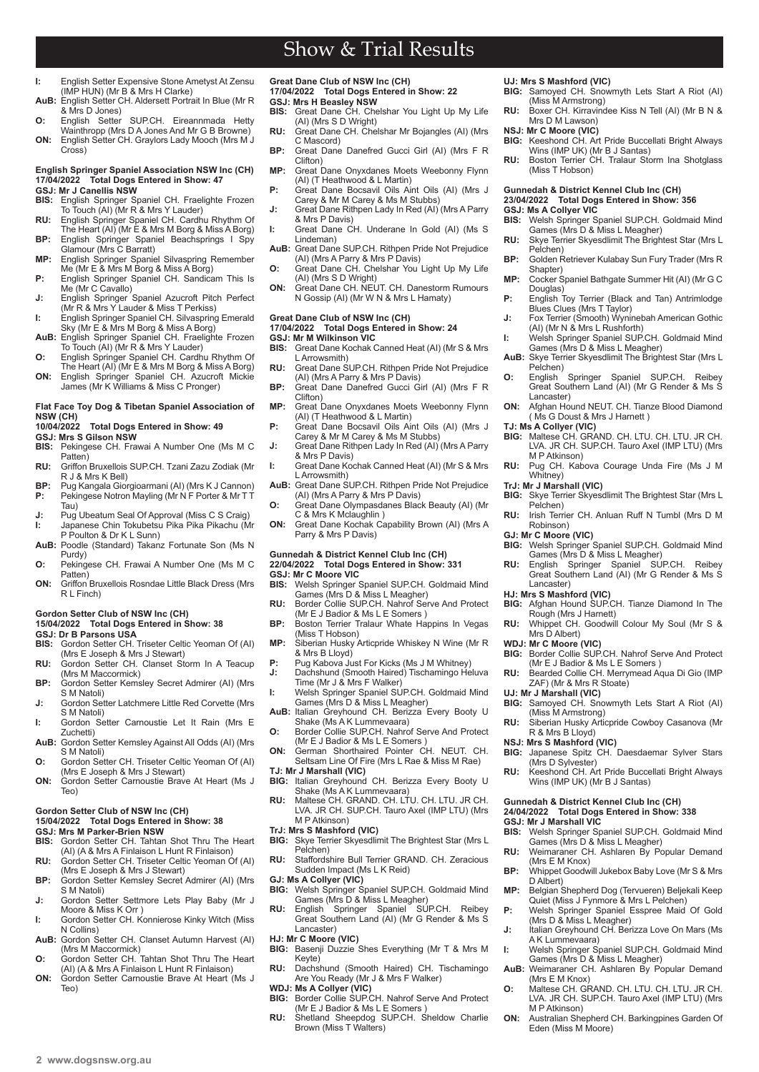- **I:** English Setter Expensive Stone Ametyst At Zensu (IMP HUN) (Mr B & Mrs H Clarke) **AuB:** English Setter CH. Aldersett Portrait In Blue (Mr R
- & Mrs D Jones) **O:** English Setter SUP.CH. Eireannmada Hetty
- Wainthropp (Mrs D A Jones And Mr G B Browne) **ON:** English Setter CH. Graylors Lady Mooch (Mrs M J Cross)

## **English Springer Spaniel Association NSW Inc (CH) 17/04/2022 Total Dogs Entered in Show: 47**

- **GSJ: Mr J Canellis NSW BIS:** English Springer Spaniel CH. Fraelighte Frozen To Touch (AI) (Mr R & Mrs Y Lauder)
- **RU:** English Springer Spaniel CH. Cardhu Rhythm Of The Heart (AI) (Mr E & Mrs M Borg & Miss A Borg) **BP:** English Springer Spaniel Beachsprings I Spy
- Glamour (Mrs C Barratt)
- **MP:** English Springer Spaniel Silvaspring Remember Me (Mr E & Mrs M Borg & Miss A Borg) **P:** English Springer Spaniel CH. Sandicam This Is
- Me (Mr C Cavallo) **J:** English Springer Spaniel Azucroft Pitch Perfect (Mr R & Mrs Y Lauder & Miss T Perkiss)
- **I:** English Springer Spaniel CH. Silvaspring Emerald Sky (Mr E & Mrs M Borg & Miss A Borg)
- **AuB:** English Springer Spaniel CH. Fraelighte Frozen To Touch (AI) (Mr R & Mrs Y Lauder)
- **O:** English Springer Spaniel CH. Cardhu Rhythm Of The Heart (AI) (Mr E & Mrs M Borg & Miss A Borg) **ON:** English Springer Spaniel CH. Azucroft Mickie James (Mr K Williams & Miss C Pronger)
- 

## **Flat Face Toy Dog & Tibetan Spaniel Association of NSW (CH)**

- **1000 Total Dogs Entered in Show: 49**
- **GSJ: Mrs S Gilson NSW**
- Pekingese CH. Frawai A Number One (Ms M C Patten) **RU:** Griffon Bruxellois SUP.CH. Tzani Zazu Zodiak (Mr
- R J & Mrs K Bell)
- **BP:** Pug Kangala Giorgioarmani (AI) (Mrs K J Cannon)<br>**P:** Pekingese Notron Mayling (Mr N F Porter & Mr T T Pekingese Notron Mayling (Mr N F Porter & Mr T T Tau)
- **J:** Pug Ubeatum Seal Of Approval (Miss C S Craig) **I:** Japanese Chin Tokubetsu Pika Pika Pikachu (Mr P Poulton & Dr K L Sunn)
- **AuB:** Poodle (Standard) Takanz Fortunate Son (Ms N Purdy)
- **O:** Pekingese CH. Frawai A Number One (Ms M C Patten)
- **ON:** Griffon Bruxellois Rosndae Little Black Dress (Mrs R L Finch)

## **Gordon Setter Club of NSW Inc (CH)**

- **15/04/2022 Total Dogs Entered in Show: 38**
- **GSJ: Dr B Parsons USA**
- Gordon Setter CH. Triseter Celtic Yeoman Of (AI) (Mrs E Joseph & Mrs J Stewart)
- **RU:** Gordon Setter CH. Clanset Storm In A Teacup (Mrs M Maccormick) **BP:** Gordon Setter Kemsley Secret Admirer (AI) (Mrs
- S M Natoli)
- **J:** Gordon Setter Latchmere Little Red Corvette (Mrs S M Natoli)
- **I:** Gordon Setter Carnoustie Let It Rain (Mrs E Zuchetti)
- **AuB:** Gordon Setter Kemsley Against All Odds (AI) (Mrs S M Natoli) **O:** Gordon Setter CH. Triseter Celtic Yeoman Of (AI)
- (Mrs E Joseph & Mrs J Stewart)
- **ON:** Gordon Setter Carnoustie Brave At Heart (Ms J Teo)

### **Gordon Setter Club of NSW Inc (CH)**

#### **15/04/2022 Total Dogs Entered in Show: 38 GSJ: Mrs M Parker-Brien NSW**

- **BIS:** Gordon Setter CH. Tahtan Shot Thru The Heart (AI) (A & Mrs A Finlaison L Hunt R Finlaison) **RU:** Gordon Setter CH. Triseter Celtic Yeoman Of (AI)
- (Mrs E Joseph & Mrs J Stewart) **BP:** Gordon Setter Kemsley Secret Admirer (AI) (Mrs
- S M Natoli) **J:** Gordon Setter Settmore Lets Play Baby (Mr J
- Moore & Miss K Orr ) **I:** Gordon Setter CH. Konnierose Kinky Witch (Miss
- N Collins) **AuB:** Gordon Setter CH. Clanset Autumn Harvest (AI)
- (Mrs M Maccormick) **O:** Gordon Setter CH. Tahtan Shot Thru The Heart
- (AI) (A & Mrs A Finlaison L Hunt R Finlaison) **ON:** Gordon Setter Carnoustie Brave At Heart (Ms J
- Teo)

#### **Great Dane Club of NSW Inc (CH) 17/04/2022 Total Dogs Entered in Show: 22**

- **GSJ: Mrs H Beasley NSW BIS:** Great Dane CH. Chelshar You Light Up My Life (AI) (Mrs S D Wright)
- **RU:** Great Dane CH. Chelshar Mr Bojangles (AI) (Mrs C Mascord)
- **BP:** Great Dane Danefred Gucci Girl (AI) (Mrs F R Clifton)
- **MP:** Great Dane Onyxdanes Moets Weebonny Flynn (AI) (T Heathwood & L Martin) **P:** Great Dane Bocsavil Oils Aint Oils (AI) (Mrs J
- Carey & Mr M Carey & Ms M Stubbs) **J:** Great Dane Rithpen Lady In Red (AI) (Mrs A Parry
- & Mrs P Davis) **I:** Great Dane CH. Underane In Gold (AI) (Ms S Lindeman)
- **AuB:** Great Dane SUP.CH. Rithpen Pride Not Prejudice (AI) (Mrs A Parry & Mrs P Davis) **O:** Great Dane CH. Chelshar You Light Up My Life
- (AI) (Mrs S D Wright)
- **ON:** Great Dane CH. NEUT. CH. Danestorm Rumours N Gossip (AI) (Mr W N & Mrs L Hamaty)

## **Great Dane Club of NSW Inc (CH)**

### **17/04/2022 Total Dogs Entered in Show: 24**

## **GSJ: Mr M Wilkinson VIC<br>BIS:** Great Dane Kochak (

- **BIS:** Great Dane Kochak Canned Heat (AI) (Mr S & Mrs L Arrowsmith)
- **RU:** Great Dane SUP.CH. Rithpen Pride Not Prejudice (AI) (Mrs A Parry & Mrs P Davis)
- **BP:** Great Dane Danefred Gucci Girl (AI) (Mrs F R Clifton)
- **MP:** Great Dane Onyxdanes Moets Weebonny Flynn (AI) (T Heathwood & L Martin) **P:** Great Dane Bocsavil Oils Aint Oils (AI) (Mrs J
- Carey & Mr M Carey & Ms M Stubbs)
- **J:** Great Dane Rithpen Lady In Red (AI) (Mrs A Parry & Mrs P Davis) **I:** Great Dane Kochak Canned Heat (AI) (Mr S & Mrs
- L Arrowsmith) AuB: Great Dane SUP.CH. Rithpen Pride Not Prejudice
- (AI) (Mrs A Parry & Mrs P Davis) **O:** Great Dane Olympasdanes Black Beauty (AI) (Mr
- C & Mrs K Mclaughlin ) **ON:** Great Dane Kochak Capability Brown (AI) (Mrs A Parry & Mrs P Davis)

#### **Gunnedah & District Kennel Club Inc (CH) 22/04/2022 Total Dogs Entered in Show: 331 GSJ: Mr C Moore VIC**

- **BIS:** Welsh Springer Spaniel SUP.CH. Goldmaid Mind Games (Mrs D & Miss L Meagher)
- **RU:** Border Collie SUP.CH. Nahrof Serve And Protect (Mr E J Badior & Ms L E Somers )
- **BP:** Boston Terrier Tralaur Whate Happins In Vegas (Miss T Hobson)
- **MP:** Siberian Husky Articpride Whiskey N Wine (Mr R & Mrs B Lloyd)
- **P:** Pug Kabova Just For Kicks (Ms J M Whitney)<br>**J:** Dachshund (Smooth Haired) Tischamingo He **J:** Dachshund (Smooth Haired) Tischamingo Heluva Time (Mr J & Mrs F Walker)
- **I:** Welsh Springer Spaniel SUP.CH. Goldmaid Mind
- Games (Mrs D & Miss L Meagher) **AuB:** Italian Greyhound CH. Berizza Every Booty U Shake (Ms A K Lummevaara)
- **O:** Border Collie SUP.CH. Nahrof Serve And Protect (Mr E J Badior & Ms L E Somers ) **ON:** German Shorthaired Pointer CH. NEUT. CH.
- Seltsam Line Of Fire (Mrs L Rae & Miss M Rae)
- **TJ: Mr J Marshall (VIC)**
- **BIG:** Italian Greyhound CH. Berizza Every Booty U<br>Shake (Ms A K Lummevaara)<br>**RU:** Maltese CH. GRAND. CH. LTU. CH. LTU. JR CH.<br>LVA. JR CH. SUP.CH. Tauro Axel (IMP LTU) (Mrs
- M P Atkinson) **TrJ: Mrs S Mashford (VIC)**
- 
- **BIG:** Skye Terrier Skyesdlimit The Brightest Star (Mrs L Pelchen)
- **RU:** Staffordshire Bull Terrier GRAND. CH. Zeracious<br>Sudden Impact (Ms L K Reid)
- **GJ: Ms A Collyer (VIC) BIG:** Welsh Springer Spaniel SUP.CH. Goldmaid Mind
- Games (Mrs D & Miss L Meagher) **RU:** English Springer Spaniel SUP.CH. Reibey Great Southern Land (AI) (Mr G Render & Ms S Lancaster)
- **HJ: Mr C Moore (VIC)**
- **BIG:** Basenji Duzzie Shes Everything (Mr T & Mrs M Keyte)
- **RU:** Dachshund (Smooth Haired) CH. Tischamingo Are You Ready (Mr J & Mrs F Walker)
- **WDJ: Ms A Collyer (VIC) BIG:** Border Collie SUP.CH. Nahrof Serve And Protect (Mr E J Badior & Ms L E Somers )
- **RU:** Shetland Sheepdog SUP.CH. Sheldow Charlie Brown (Miss T Walters)

## **UJ: Mrs S Mashford (VIC)**

- **BIG:** Samoyed CH. Snowmyth Lets Start A Riot (AI) (Miss M Armstrong)
- **RU:** Boxer CH. Kirravindee Kiss N Tell (AI) (Mr B N & Mrs D M Lawson)
- **NSJ: Mr C Moore (VIC)**
- **BIG:** Keeshond CH. Art Pride Buccellati Bright Always Wins (IMP UK) (Mr B J Santas) **RU:** Boston Terrier CH. Tralaur Storm Ina Shotglass
- (Miss T Hobson)

**RU:** Skye Terrier Skyesdlimit The Brightest Star (Mrs L

**BP:** Golden Retriever Kulabay Sun Fury Trader (Mrs R

**MP:** Cocker Spaniel Bathgate Summer Hit (AI) (Mr G C

**P:** English Toy Terrier (Black and Tan) Antrimlodge Blues Clues (Mrs T Taylor) **J:** Fox Terrier (Smooth) Wyninebah American Gothic

**I:** Welsh Springer Spaniel SUP.CH. Goldmaid Mind Games (Mrs D & Miss L Meagher) **AuB:** Skye Terrier Skyesdlimit The Brightest Star (Mrs L Pelchen) **O:** English Springer Spaniel SUP.CH. Reibey Great Southern Land (AI) (Mr G Render & Ms S

**ON:** Afghan Hound NEUT. CH. Tianze Blood Diamond

**TJ: Ms A Collyer (VIC) BIG:** Maltese CH. GRAND. CH. LTU. CH. LTU. JR CH. LVA. JR CH. SUP.CH. Tauro Axel (IMP LTU) (Mrs

**RU:** Pug CH. Kabova Courage Unda Fire (Ms J M

**BIG:** Skye Terrier Skyesdlimit The Brightest Star (Mrs L

**RU:** Irish Terrier CH. Anluan Ruff N Tumbl (Mrs D M

**BIG:** Welsh Springer Spaniel SUP.CH. Goldmaid Mind Games (Mrs D & Miss L Meagher) **RU:** English Springer Spaniel SUP.CH. Reibey Great Southern Land (AI) (Mr G Render & Ms S

**BIG:** Afghan Hound SUP.CH. Tianze Diamond In The

**RU:** Whippet CH. Goodwill Colour My Soul (Mr S & Mrs D Albert) **WDJ: Mr C Moore (VIC) BIG:** Border Collie SUP.CH. Nahrof Serve And Protect (Mr E J Badior & Ms L E Somers ) **RU:** Bearded Collie CH. Merrymead Aqua Di Gio (IMP ZAF) (Mr & Mrs R Stoate)

**BIG:** Samoyed CH. Snowmyth Lets Start A Riot (AI) (Miss M Armstrong) **RU:** Siberian Husky Articpride Cowboy Casanova (Mr

**BIG:** Japanese Spitz CH. Daesdaemar Sylver Stars (Mrs D Sylvester) **RU:** Keeshond CH. Art Pride Buccellati Bright Always Wins (IMP UK) (Mr B J Santas)

**BIS:** Welsh Springer Spaniel SUP.CH. Goldmaid Mind Games (Mrs D & Miss L Meagher) **RU:** Weimaraner CH. Ashlaren By Popular Demand

**BP:** Whippet Goodwill Jukebox Baby Love (Mr S & Mrs

**MP:** Belgian Shepherd Dog (Tervueren) Beljekali Keep Quiet (Miss J Fynmore & Mrs L Pelchen) **P:** Welsh Springer Spaniel Esspree Maid Of Gold

**J:** Italian Greyhound CH. Berizza Love On Mars (Ms

**I:** Welsh Springer Spaniel SUP.CH. Goldmaid Mind Games (Mrs D & Miss L Meagher) AuB: Weimaraner CH. Ashlaren By Popular Demand

**O:** Maltese CH. GRAND. CH. LTU. CH. LTU. JR CH. LVA. JR CH. SUP.CH. Tauro Axel (IMP LTU) (Mrs

**ON:** Australian Shepherd CH. Barkingpines Garden Of

**Gunnedah & District Kennel Club Inc (CH) 24/04/2022 Total Dogs Entered in Show: 338**

 $2$  www.dogsnsw.org.au **DOGS NSW Results received March 2022 3** 

### **Gunnedah & District Kennel Club Inc (CH)**

**23/04/2022 Total Dogs Entered in Show: 356**

(AI) (Mr N & Mrs L Rushforth)

( Ms G Doust & Mrs J Harnett )

**GSJ: Ms A Collyer VIC<br>BIS:** Welsh Springer S **BIS:** Welsh Springer Spaniel SUP.CH. Goldmaid Mind Games (Mrs D & Miss L Meagher)

Pelchen)

Shapter)

Douglas)

Lancaster)

M P Atkinson)

Whitney) **TrJ: Mr J Marshall (VIC)**

Pelchen)

Robinson) **GJ: Mr C Moore (VIC)**

Lancaster) **HJ: Mrs S Mashford (VIC)**

**UJ: Mr J Marshall (VIC)**

**GSJ: Mr J Marshall VIC<br>BIS:** Welsh Springer Sp

D Albert)

(Mrs E M Knox)

(Mrs D & Miss L Meagher)

A K Lummevaara)

(Mrs E M Knox)

M P Atkinson)

Eden (Miss M Moore)

R & Mrs B Lloyd) **NSJ: Mrs S Mashford (VIC)**

Rough (Mrs J Harnett)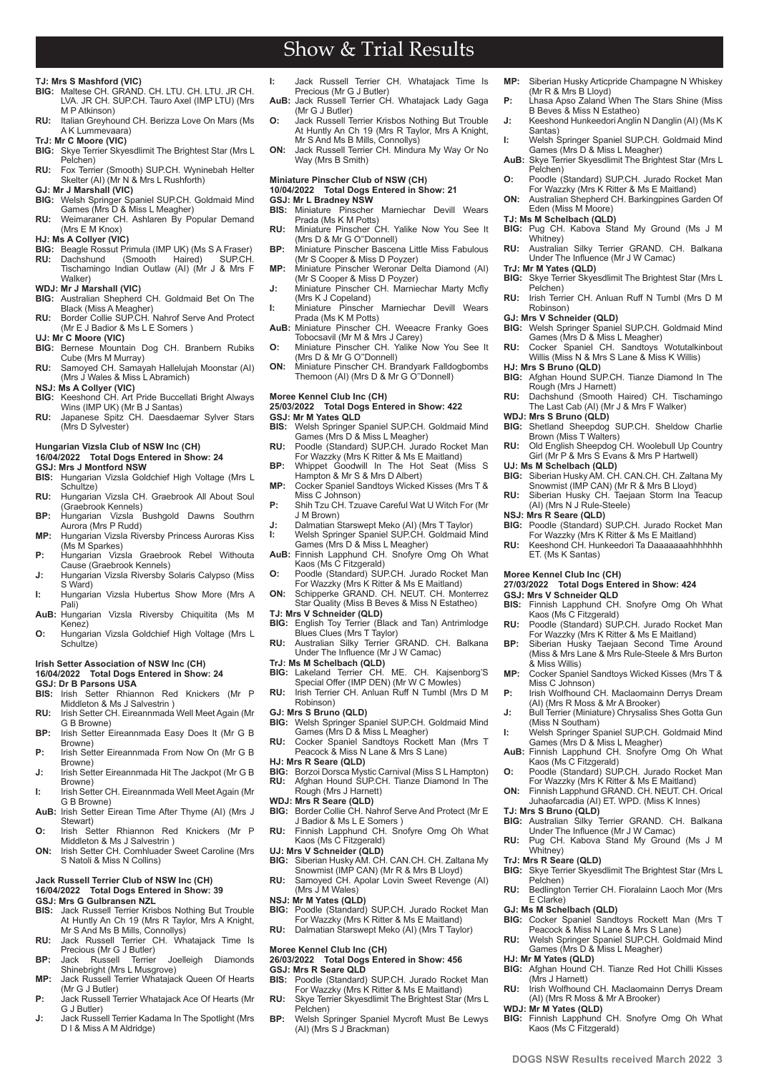# Show & Trial Results

#### **TJ: Mrs S Mashford (VIC)**

- **BIG:** Maltese CH. GRAND. CH. LTU. CH. LTU. JR CH. LVA. JR CH. SUP.CH. Tauro Axel (IMP LTU) (Mrs M P Atkinson)
- **RU:** Italian Greyhound CH. Berizza Love On Mars (Ms A K Lummevaara)
- 
- **TrJ: Mr C Moore (VIC) Skye Terrier Skyesdlimit The Brightest Star (Mrs L)** Pelchen)
- **RU:** Fox Terrier (Smooth) SUP.CH. Wyninebah Helter Skelter (AI) (Mr N & Mrs L Rushforth)
- **GJ: Mr J Marshall (VIC)**<br>**BIG:** Welsh Springer Sp
- **BIG:** Welsh Springer Spaniel SUP.CH. Goldmaid Mind Games (Mrs D & Miss L Meagher) **RU:** Weimaraner CH. Ashlaren By Popular Demand
- (Mrs E M Knox)
- **HJ: Ms A Collyer (VIC)**
- **BIG:** Beagle Rossut Primula (IMP UK) (Ms S A Fraser)<br>**RU:** Dachshund (Smooth Haired) SUP.CH. **RU:** Dachshund (Smooth Haired) SUP.CH. Tischamingo Indian Outlaw (AI) (Mr J & Mrs F Walker)
- **WDJ: Mr J Marshall (VIC)**
- **BIG:** Australian Shepherd CH. Goldmaid Bet On The Black (Miss A Meagher) **RU:** Border Collie SUP.CH. Nahrof Serve And Protect
- (Mr E J Badior & Ms L E Somers )
- **UJ: Mr C Moore (VIC)**
- **BIG:** Bernese Mountain Dog CH. Branbern Rubiks Cube (Mrs M Murray)
- **RU:** Samoyed CH. Samayah Hallelujah Moonstar (AI) (Mrs J Wales & Miss L Abramich)
- 
- **NSJ: Ms A Collyer (VIC) BIG:** Keeshond CH. Art Pride Buccellati Bright Always Wins (IMP UK) (Mr B J Santas) **RU:** Japanese Spitz CH. Daesdaemar Sylver Stars
- (Mrs D Sylvester)
- **Hungarian Vizsla Club of NSW Inc (CH)**

#### **16/04/2022 Total Dogs Entered in Show: 24 GSJ: Mrs J Montford NSW**

- **BIS:** Hungarian Vizsla Goldchief High Voltage (Mrs L Schultze)
- **RU:** Hungarian Vizsla CH. Graebrook All About Soul (Graebrook Kennels)
- **BP:** Hungarian Vizsla Bushgold Dawns Southrn Aurora (Mrs P Rudd)
- **MP:** Hungarian Vizsla Riversby Princess Auroras Kiss (Ms M Sparkes) **P:** Hungarian Vizsla Graebrook Rebel Withouta
- Cause (Graebrook Kennels) **J:** Hungarian Vizsla Riversby Solaris Calypso (Miss
- S Ward) **I:** Hungarian Vizsla Hubertus Show More (Mrs A
- Pali) **AuB:** Hungarian Vizsla Riversby Chiquitita (Ms M Kenez)
- **O:** Hungarian Vizsla Goldchief High Voltage (Mrs L Schultze)

## **Irish Setter Association of NSW Inc (CH)**

**16/04/2022 Total Dogs Entered in Show: 24 GSJ: Dr B Parsons USA**

- **BIS:** Irish Setter Rhiannon Red Knickers (Mr P Middleton & Ms J Salvestrin )
- **RU:** Irish Setter CH. Eireannmada Well Meet Again (Mr G B Browne) **BP:** Irish Setter Eireannmada Easy Does It (Mr G B
- Browne) **P:** Irish Setter Eireannmada From Now On (Mr G B
- Browne) **J:** Irish Setter Eireannmada Hit The Jackpot (Mr G B
- Browne) **I:** Irish Setter CH. Eireannmada Well Meet Again (Mr G B Browne)
- **AuB:** Irish Setter Eirean Time After Thyme (AI) (Mrs J Stewart)
- **O:** Irish Setter Rhiannon Red Knickers (Mr P Middleton & Ms J Salvestrin )
- **ON:** Irish Setter CH. Comhluader Sweet Caroline (Mrs S Natoli & Miss N Collins)

#### **Jack Russell Terrier Club of NSW Inc (CH)**

**16/04/2022 Total Dogs Entered in Show: 39**

**2 www.dogsnsw.org.au DOGS NSW Results received March 2022 3**

- **GSJ: Mrs G Gulbransen NZL<br>BIS:** Jack Russell Terrier Kris **BIS:** Jack Russell Terrier Krisbos Nothing But Trouble At Huntly An Ch 19 (Mrs R Taylor, Mrs A Knight, Mr S And Ms B Mills, Connollys) **RU:** Jack Russell Terrier CH. Whatajack Time Is
- Precious (Mr G J Butler)
- **BP:** Jack Russell Terrier Joelleigh Diamonds Shinebright (Mrs L Musgrove) **MP:** Jack Russell Terrier Whatajack Queen Of Hearts
- (Mr G J Butler) **P:** Jack Russell Terrier Whatajack Ace Of Hearts (Mr
- G J Butler)
- **J:** Jack Russell Terrier Kadama In The Spotlight (Mrs D I & Miss A M Aldridge)
- **I:** Jack Russell Terrier CH. Whatajack Time Is Precious (Mr G J Butler) **AuB:** Jack Russell Terrier CH. Whatajack Lady Gaga
- (Mr G J Butler) **O:** Jack Russell Terrier Krisbos Nothing But Trouble At Huntly An Ch 19 (Mrs R Taylor, Mrs A Knight, Mr S And Ms B Mills, Connollys)
- **ON:** Jack Russell Terrier CH. Mindura My Way Or No Way (Mrs B Smith)
- **Miniature Pinscher Club of NSW (CH)**

#### **10/04/2022 Total Dogs Entered in Show: 21**

- **GSJ: Mr L Bradney NSW BIS:** Miniature Pinscher Marniechar Devill Wears Prada (Ms K M Potts) **RU:** Miniature Pinscher CH. Yalike Now You See It
- (Mrs D & Mr G O''Donnell)
- **BP:** Miniature Pinscher Bascena Little Miss Fabulous (Mr S Cooper & Miss D Poyzer) **MP:** Miniature Pinscher Weronar Delta Diamond (AI)
- (Mr S Cooper & Miss D Poyzer) **J:** Miniature Pinscher CH. Marniechar Marty Mcfly
- (Mrs K J Copeland) **I:** Miniature Pinscher Marniechar Devill Wears
- Prada (Ms K M Potts)
- **AuB:** Miniature Pinscher CH. Weeacre Franky Goes Tobocsavil (Mr M & Mrs J Carey) **O:** Miniature Pinscher CH. Yalike Now You See It
- (Mrs D & Mr G O''Donnell)
- **ON:** Miniature Pinscher CH. Brandyark Falldogbombs Themoon (AI) (Mrs D & Mr G O''Donnell)

#### **Moree Kennel Club Inc (CH)**

## **25/03/2022 Total Dogs Entered in Show: 422 GSJ: Mr M Yates QLD**

- **BIS:** Welsh Springer Spaniel SUP.CH. Goldmaid Mind Games (Mrs D & Miss L Meagher)
- **RU:** Poodle (Standard) SUP.CH. Jurado Rocket Man For Wazzky (Mrs K Ritter & Ms E Maitland)
- **BP:** Whippet Goodwill In The Hot Seat (Miss S Hampton & Mr S & Mrs D Albert)
- **MP:** Cocker Spaniel Sandtoys Wicked Kisses (Mrs T & Miss C Johnson)
- **P:** Shih Tzu CH. Tzuave Careful Wat U Witch For (Mr J M Brown)
- **J:** Dalmatian Starswept Meko (AI) (Mrs T Taylor)<br>**I:** Welsh Springer Spaniel SUP.CH. Goldmaid M Welsh Springer Spaniel SUP.CH. Goldmaid Mind
- Games (Mrs D & Miss L Meagher) **AuB:** Finnish Lapphund CH. Snofyre Omg Oh What
- Kaos (Ms C Fitzgerald)
- **O:** Poodle (Standard) SUP.CH. Jurado Rocket Man For Wazzky (Mrs K Ritter & Ms E Maitland) **ON:** Schipperke GRAND. CH. NEUT. CH. Monterrez
- Star Quality (Miss B Beves & Miss N Estatheo) **TJ: Mrs V Schneider (QLD)**
- **BIG:** English Toy Terrier (Black and Tan) Antrimlodge Blues Clues (Mrs T Taylor) **RU:** Australian Silky Terrier GRAND. CH. Balkana
- Under The Influence (Mr J W Camac)
- 
- **TrJ: Ms M Schelbach (QLD) BIG:** Lakeland Terrier CH. ME. CH. Kajsenborg'S Special Offer (IMP DEN) (Mr W C Mowles) **RU:** Irish Terrier CH. Anluan Ruff N Tumbl (Mrs D M
- Robinson)
- **GJ: Mrs S Bruno (QLD) BIG:** Welsh Springer Spaniel SUP.CH. Goldmaid Mind Games (Mrs D & Miss L Meagher)
- **RU:** Cocker Spaniel Sandtoys Rockett Man (Mrs T Peacock & Miss N Lane & Mrs S Lane)
- **HJ: Mrs R Seare (QLD)**
- **BIG:** Borzoi Dorsca Mystic Carnival (Miss S L Hampton)<br>**RU:** Afghan Hound SUP.CH. Tianze Diamond In The **RU:** Afghan Hound SUP.CH. Tianze Diamond In The Rough (Mrs J Harnett)
- 
- **WDJ: Mrs R Seare (QLD) BIG:** Border Collie CH. Nahrof Serve And Protect (Mr E
- J Badior & Ms L E Somers )
- **RU:** Finnish Lapphund CH. Snofyre Omg Oh What Kaos (Ms C Fitzgerald)
- **UJ: Mrs V Schneider (QLD) BIG:** Siberian Husky AM. CH. CAN.CH. CH. Zaltana My Snowmist (IMP CAN) (Mr R & Mrs B Lloyd)
- **RU:** Samoyed CH. Apolar Lovin Sweet Revenge (AI) (Mrs J M Wales)
- 
- **NSJ: Mr M Yates (QLD) BIG:** Poodle (Standard) SUP.CH. Jurado Rocket Man For Wazzky (Mrs K Ritter & Ms E Maitland) **RU:** Dalmatian Starswept Meko (AI) (Mrs T Taylor)
- 

### **Moree Kennel Club Inc (CH)**

**26/03/2022 Total Dogs Entered in Show: 456 GSJ: Mrs R Seare QLD**<br>**BIS:** Poodle (Standard)

- **BIS:** Poodle (Standard) SUP.CH. Jurado Rocket Man For Wazzky (Mrs K Ritter & Ms E Maitland) **RU:** Skye Terrier Skyesdlimit The Brightest Star (Mrs L
- Pelchen) **BP:** Welsh Springer Spaniel Mycroft Must Be Lewys (AI) (Mrs S J Brackman)
- **MP:** Siberian Husky Articpride Champagne N Whiskey (Mr R & Mrs B Lloyd) **P:** Lhasa Apso Zaland When The Stars Shine (Miss
- B Beves & Miss N Estatheo) **J:** Keeshond Hunkeedori Anglin N Danglin (AI) (Ms K

**I:** Welsh Springer Spaniel SUP.CH. Goldmaid Mind Games (Mrs D & Miss L Meagher) **AuB:** Skye Terrier Skyesdlimit The Brightest Star (Mrs L

**O:** Poodle (Standard) SUP.CH. Jurado Rocket Man For Wazzky (Mrs K Ritter & Ms E Maitland) **ON:** Australian Shepherd CH. Barkingpines Garden Of

**BIG:** Pug CH. Kabova Stand My Ground (Ms J M

**RU:** Australian Silky Terrier GRAND. CH. Balkana Under The Influence (Mr J W Camac)

**RU:** Irish Terrier CH. Anluan Ruff N Tumbl (Mrs D M

**BIG:** Welsh Springer Spaniel SUP.CH. Goldmaid Mind Games (Mrs D & Miss L Meagher) **RU:** Cocker Spaniel CH. Sandtoys Wotutalkinbout Willis (Miss N & Mrs S Lane & Miss K Willis)

**BIG:** Afghan Hound SUP.CH. Tianze Diamond In The Rough (Mrs J Harnett) **RU:** Dachshund (Smooth Haired) CH. Tischamingo The Last Cab (AI) (Mr J & Mrs F Walker) **WDJ: Mrs S Bruno (QLD) BIG:** Shetland Sheepdog SUP.CH. Sheldow Charlie

**RU:** Old English Sheepdog CH. Woolebull Up Country Girl (Mr P & Mrs S Evans & Mrs P Hartwell) **UJ: Ms M Schelbach (QLD) BIG:** Siberian Husky AM. CH. CAN.CH. CH. Zaltana My Snowmist (IMP CAN) (Mr R & Mrs B Lloyd) **RU:** Siberian Husky CH. Taejaan Storm Ina Teacup

**BIG:** Poodle (Standard) SUP.CH. Jurado Rocket Man For Wazzky (Mrs K Ritter & Ms E Maitland) **RU:** Keeshond CH. Hunkeedori Ta Daaaaaaahhhhhhh

**BIS:** Finnish Lapphund CH. Snofyre Omg Oh What

**RU:** Poodle (Standard) SUP.CH. Jurado Rocket Man For Wazzky (Mrs K Ritter & Ms E Maitland) **BP:** Siberian Husky Taejaan Second Time Around (Miss & Mrs Lane & Mrs Rule-Steele & Mrs Burton

**MP:** Cocker Spaniel Sandtoys Wicked Kisses (Mrs T & Miss C Johnson) **P:** Irish Wolfhound CH. Maclaomainn Derrys Dream (AI) (Mrs R Moss & Mr A Brooker) **J:** Bull Terrier (Miniature) Chrysaliss Shes Gotta Gun

**I:** Welsh Springer Spaniel SUP.CH. Goldmaid Mind Games (Mrs D & Miss L Meagher) **AuB:** Finnish Lapphund CH. Snofyre Omg Oh What Kaos (Ms C Fitzgerald) **O:** Poodle (Standard) SUP.CH. Jurado Rocket Man For Wazzky (Mrs K Ritter & Ms E Maitland) **ON:** Finnish Lapphund GRAND. CH. NEUT. CH. Orical Juhaofarcadia (AI) ET. WPD. (Miss K Innes)

**BIG:** Australian Silky Terrier GRAND. CH. Balkana Under The Influence (Mr J W Camac) **RU:** Pug CH. Kabova Stand My Ground (Ms J M

**BIG:** Skye Terrier Skyesdlimit The Brightest Star (Mrs L

**RU:** Bedlington Terrier CH. Fioralainn Laoch Mor (Mrs

**BIG:** Cocker Spaniel Sandtoys Rockett Man (Mrs T Peacock & Miss N Lane & Mrs S Lane) **RU:** Welsh Springer Spaniel SUP.CH. Goldmaid Mind

**BIG:** Afghan Hound CH. Tianze Red Hot Chilli Kisses

**RU:** Irish Wolfhound CH. Maclaomainn Derrys Dream (AI) (Mrs R Moss & Mr A Brooker)

**BIG:** Finnish Lapphund CH. Snofyre Omg Oh What

Games (Mrs D & Miss L Meagher)

**27/03/2022 Total Dogs Entered in Show: 424**

**BIG:** Skye Terrier Skyesdlimit The Brightest Star (Mrs L

Santas)

Pelchen)

Whitney)

**TrJ: Mr M Yates (QLD)**

Pelchen)

Robinson) **GJ: Mrs V Schneider (QLD)**

**HJ: Mrs S Bruno (QLD)**

Brown (Miss T Walters)

(AI) (Mrs N J Rule-Steele)

**NSJ: Mrs R Seare (QLD)**

ET. (Ms K Santas) **Moree Kennel Club Inc (CH)** 

**GSJ: Mrs V Schneider QLD**

& Miss Willis)

(Miss N Southam)

**TJ: Mrs S Bruno (QLD)**

Whitney) **TrJ: Mrs R Seare (QLD)**

Pelchen)

E Clarke) **GJ: Ms M Schelbach (QLD)**

**HJ: Mr M Yates (QLD)**

(Mrs J Harnett)

**WDJ: Mr M Yates (QLD)**

Kaos (Ms C Fitzgerald)

Kaos (Ms C Fitzgerald)

Eden (Miss M Moore) **TJ: Ms M Schelbach (QLD)**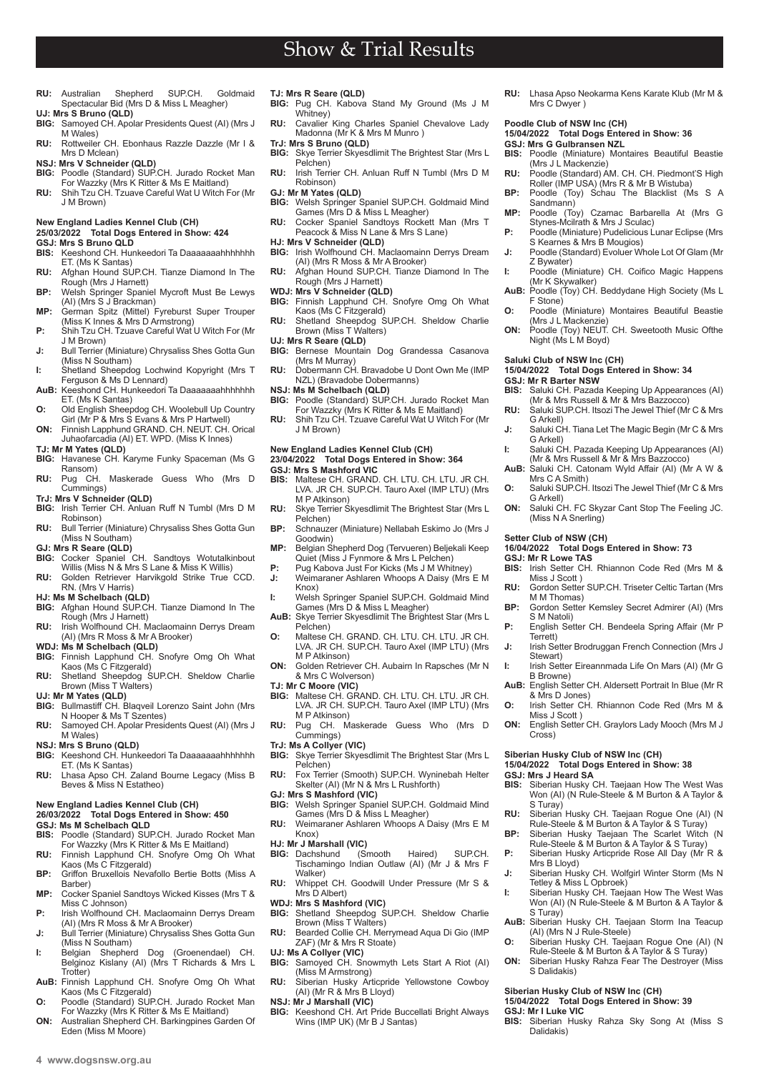- **RU:** Australian Shepherd SUP.CH. Goldmaid Spectacular Bid (Mrs D & Miss L Meagher)
- **UJ: Mrs S Bruno (QLD)** Samoyed CH. Apolar Presidents Quest (AI) (Mrs J M Wales)
- **RU:** Rottweiler CH. Ebonhaus Razzle Dazzle (Mr I & Mrs D Mclean)
- **NSJ: Mrs V Schneider (QLD)**
- **BIG:** Poodle (Standard) SUP.CH. Jurado Rocket Man For Wazzky (Mrs K Ritter & Ms E Maitland) **RU:** Shih Tzu CH. Tzuave Careful Wat U Witch For (Mr
- J M Brown)

### **New England Ladies Kennel Club (CH)**

## **25/03/2022 Total Dogs Entered in Show: 424**

- **GSJ: Mrs S Bruno QLD**<br>**BIS:** Keeshond CH. Hun
- **BIS:** Keeshond CH. Hunkeedori Ta Daaaaaaahhhhhhh ET. (Ms K Santas)
- **RU:** Afghan Hound SUP.CH. Tianze Diamond In The Rough (Mrs J Harnett)
- **BP:** Welsh Springer Spaniel Mycroft Must Be Lewys (AI) (Mrs S J Brackman)
- **MP:** German Spitz (Mittel) Fyreburst Super Trouper (Miss K Innes & Mrs D Armstrong) **P:** Shih Tzu CH. Tzuave Careful Wat U Witch For (Mr
- J M Brown) **J:** Bull Terrier (Miniature) Chrysaliss Shes Gotta Gun
- (Miss N Southam) **I:** Shetland Sheepdog Lochwind Kopyright (Mrs T
- Ferguson & Ms D Lennard) **AuB:** Keeshond CH. Hunkeedori Ta Daaaaaaahhhhhhh
- ET. (Ms K Santas) **O:** Old English Sheepdog CH. Woolebull Up Country
- Girl (Mr P & Mrs S Evans & Mrs P Hartwell) **ON:** Finnish Lapphund GRAND. CH. NEUT. CH. Orical Juhaofarcadia (AI) ET. WPD. (Miss K Innes)
- 
- **TJ: Mr M Yates (QLD) BIG:** Havanese CH. Karyme Funky Spaceman (Ms G Ransom)
- **RU:** Pug CH. Maskerade Guess Who (Mrs D Cummings)
- **TrJ: Mrs V Schneider (QLD)**
- **BIG:** Irish Terrier CH. Anluan Ruff N Tumbl (Mrs D M Robinson)
- **RU:** Bull Terrier (Miniature) Chrysaliss Shes Gotta Gun (Miss N Southam)
- **GJ: Mrs R Seare (QLD)**
- **BIG:** Cocker Spaniel CH. Sandtoys Wotutalkinbout Willis (Miss N & Mrs S Lane & Miss K Willis) **RU:** Golden Retriever Harvikgold Strike True CCD.
- RN. (Mrs V Harris)
- **HJ: Ms M Schelbach (QLD)**<br>**BIG:** Afghan Hound SUP.CI
- **BIG:** Afghan Hound SUP.CH. Tianze Diamond In The Rough (Mrs J Harnett) **RU:** Irish Wolfhound CH. Maclaomainn Derrys Dream
- (AI) (Mrs R Moss & Mr A Brooker)
- **WDJ: Ms M Schelbach (QLD)**
- **BIG:** Finnish Lapphund CH. Snofyre Omg Oh What
- Kaos (Ms C Fitzgerald) **RU:** Shetland Sheepdog SUP.CH. Sheldow Charlie Brown (Miss T Walters)
- 
- **UJ: Mr M Yates (QLD) BIG:** Bullmastiff CH. Blaqveil Lorenzo Saint John (Mrs N Hooper & Ms T Szentes) **RU:** Samoyed CH. Apolar Presidents Quest (AI) (Mrs J
- M Wales) **NSJ: Mrs S Bruno (QLD)**
- **BIG:** Keeshond CH. Hunkeedori Ta Daaaaaaahhhhhhh
- ET. (Ms K Santas) **RU:** Lhasa Apso CH. Zaland Bourne Legacy (Miss B
- Beves & Miss N Estatheo)

#### **New England Ladies Kennel Club (CH) 26/03/2022 Total Dogs Entered in Show: 450**

- **GSJ: Ms M Schelbach QLD**
- **BIS:** Poodle (Standard) SUP.CH. Jurado Rocket Man For Wazzky (Mrs K Ritter & Ms E Maitland)
- **RU:** Finnish Lapphund CH. Snofyre Omg Oh What Kaos (Ms C Fitzgerald)
- **BP:** Griffon Bruxellois Nevafollo Bertie Botts (Miss A Barber)
- **MP:** Cocker Spaniel Sandtoys Wicked Kisses (Mrs T & Miss C Johnson) **P:** Irish Wolfhound CH. Maclaomainn Derrys Dream
- (AI) (Mrs R Moss & Mr A Brooker) **J:** Bull Terrier (Miniature) Chrysaliss Shes Gotta Gun
- (Miss N Southam)
- **I:** Belgian Shepherd Dog (Groenendael) CH. Belginoz Kislany (AI) (Mrs T Richards & Mrs L Trotter) **AuB:** Finnish Lapphund CH. Snofyre Omg Oh What
- Kaos (Ms C Fitzgerald) **O:** Poodle (Standard) SUP.CH. Jurado Rocket Man
- For Wazzky (Mrs K Ritter & Ms E Maitland) **ON:** Australian Shepherd CH. Barkingpines Garden Of

Eden (Miss M Moore)

#### **TJ: Mrs R Seare (QLD)**

**BIG:** Pug CH. Kabova Stand My Ground (Ms J M Whitney) **RU:** Cavalier King Charles Spaniel Chevalove Lady Madonna (Mr K & Mrs M Munro )

Show & Trial Results

- **TrJ: Mrs S Bruno (QLD)**
- **BIG:** Skye Terrier Skyesdlimit The Brightest Star (Mrs L Pelchen)
- **RU:** Irish Terrier CH. Anluan Ruff N Tumbl (Mrs D M Robinson) **GJ: Mr M Yates (QLD)**
- 
- **BIG:** Welsh Springer Spaniel SUP.CH. Goldmaid Mind Games (Mrs D & Miss L Meagher) **RU:** Cocker Spaniel Sandtoys Rockett Man (Mrs T Peacock & Miss N Lane & Mrs S Lane)
- 
- **HJ: Mrs V Schneider (QLD)**<br>**BIG:** Irish Wolfhound CH. Maclaomainn Derrys Dream<br>(AI) (Mrs R Moss & Mr A Brooker)
- **RU:** Afghan Hound SUP.CH. Tianze Diamond In The Rough (Mrs J Harnett)
- 
- **WDJ: Mrs V Schneider (QLD) BIG:** Finnish Lapphund CH. Snofyre Omg Oh What Kaos (Ms C Fitzgerald)
- **RU:** Shetland Sheepdog SUP.CH. Sheldow Charlie Brown (Miss T Walters)
- **UJ: Mrs R Seare (QLD)**
- **BIG:** Bernese Mountain Dog Grandessa Casanova (Mrs M Murray) **RU:** Dobermann CH. Bravadobe U Dont Own Me (IMP
- NZL) (Bravadobe Dobermanns)
- **NSJ: Ms M Schelbach (QLD)**
- **BIG:** Poodle (Standard) SUP.CH. Jurado Rocket Man For Wazzky (Mrs K Ritter & Ms E Maitland) **RU:** Shih Tzu CH. Tzuave Careful Wat U Witch For (Mr
- J M Brown)

#### **New England Ladies Kennel Club (CH) 23/04/2022 Total Dogs Entered in Show: 364**

## **GSJ: Mrs S Mashford VIC**

- **MISS C MUSSING COMPTERED COMPTS COMMUNIST CH. LTU. JR CH.** LVA. JR CH. SUP.CH. Tauro Axel (IMP LTU) (Mrs M P Atkinson)
- **RU:** Skye Terrier Skyesdlimit The Brightest Star (Mrs L Pelchen)
- **BP:** Schnauzer (Miniature) Nellabah Eskimo Jo (Mrs J Goodwin)
- **MP:** Belgian Shepherd Dog (Tervueren) Beljekali Keep Quiet (Miss J Fynmore & Mrs L Pelchen)
- **P:** Pug Kabova Just For Kicks (Ms J M Whitney)<br>**J:** Weimaraner Ashlaren Whoops A Daisy (Mrs **J:** Weimaraner Ashlaren Whoops A Daisy (Mrs E M
- Knox) **I:** Welsh Springer Spaniel SUP.CH. Goldmaid Mind
- Games (Mrs D & Miss L Meagher) **AuB:** Skye Terrier Skyesdlimit The Brightest Star (Mrs L
- Pelchen) **O:** Maltese CH. GRAND. CH. LTU. CH. LTU. JR CH. LVA. JR CH. SUP.CH. Tauro Axel (IMP LTU) (Mrs
- M P Atkinson) **ON:** Golden Retriever CH. Aubairn In Rapsches (Mr N & Mrs C Wolverson)
- 
- **TJ: Mr C Moore (VIC) BIG:** Maltese CH. GRAND. CH. LTU. CH. LTU. JR CH. LVA. JR CH. SUP.CH. Tauro Axel (IMP LTU) (Mrs M P Atkinson)
- **RU:** Pug CH. Maskerade Guess Who (Mrs D Cummings)
- 
- **TrJ: Ms A Collyer (VIC) BIG:** Skye Terrier Skyesdlimit The Brightest Star (Mrs L Pelchen)
- **RU:** Fox Terrier (Smooth) SUP.CH. Wyninebah Helter Skelter (AI) (Mr N & Mrs L Rushforth)
- **GJ: Mrs S Mashford (VIC) BIG:** Welsh Springer Spaniel SUP.CH. Goldmaid Mind
- Games (Mrs D & Miss L Meagher) **RU:** Weimaraner Ashlaren Whoops A Daisy (Mrs E M
- Knox)
- **HJ: Mr J Marshall (VIC)**<br>**BIG:** Dachshund (Smooth **BIG:** Dachshund (Smooth Haired) SUP.CH. Tischamingo Indian Outlaw (AI) (Mr J & Mrs F
- Walker) **RU:** Whippet CH. Goodwill Under Pressure (Mr S & Mrs D Albert)
- **WDJ: Mrs S Mashford (VIC)**
- **BIG:** Shetland Sheepdog SUP.CH. Sheldow Charlie Brown (Miss T Walters)
- **RU:** Bearded Collie CH. Merrymead Aqua Di Gio (IMP ZAF) (Mr & Mrs R Stoate)
- **UJ: Ms A Collyer (VIC)**
- **BIG:** Samoyed CH. Snowmyth Lets Start A Riot (AI) (Miss M Armstrong) **RU:** Siberian Husky Articpride Yellowstone Cowboy
- (AI) (Mr R & Mrs B Lloyd)
- **NSJ: Mr J Marshall (VIC) BIG:** Keeshond CH. Art Pride Buccellati Bright Always
	- Wins (IMP UK) (Mr B J Santas)

**RU:** Lhasa Apso Neokarma Kens Karate Klub (Mr M & Mrs C Dwyer )

**BIS:** Poodle (Miniature) Montaires Beautiful Beastie

**RU:** Poodle (Standard) AM. CH. CH. Piedmont'S High<br>Roller (IMP USA) (Mrs R & Mr B Wistuba) **BP:** Poodle (Toy) Schau The Blacklist (Ms S A

**MP:** Poodle (Toy) Czamac Barbarella At (Mrs G Stynes-Mcilrath & Mrs J Sculac) **P:** Poodle (Miniature) Pudelicious Lunar Eclipse (Mrs

**J:** Poodle (Standard) Evoluer Whole Lot Of Glam (Mr

**I:** Poodle (Miniature) CH. Coifico Magic Happens (Mr K Skywalker) **AuB:** Poodle (Toy) CH. Beddydane High Society (Ms L

**O:** Poodle (Miniature) Montaires Beautiful Beastie (Mrs J L Mackenzie) **ON:** Poodle (Toy) NEUT. CH. Sweetooth Music Ofthe Night (Ms L M Boyd)

**BIG:** BIG: NETT<br>Saluki CH. Pazada Keeping Up Appearances (AI) (Mr & Mrs Russell & Mr & Mrs Bazzocco) **RU:** Saluki SUP.CH. Itsozi The Jewel Thief (Mr C & Mrs

**J:** Saluki CH. Tiana Let The Magic Begin (Mr C & Mrs

**I:** Saluki CH. Pazada Keeping Up Appearances (AI) (Mr & Mrs Russell & Mr & Mrs Bazzocco) **AuB:** Saluki CH. Catonam Wyld Affair (AI) (Mr A W &

**O:** Saluki SUP.CH. Itsozi The Jewel Thief (Mr C & Mrs

**ON:** Saluki CH. FC Skyzar Cant Stop The Feeling JC.

**BIS:** Irish Setter CH. Rhiannon Code Red (Mrs M &

**RU:** Gordon Setter SUP.CH. Triseter Celtic Tartan (Mrs

**BP:** Gordon Setter Kemsley Secret Admirer (AI) (Mrs

**P:** English Setter CH. Bendeela Spring Affair (Mr P

**J:** Irish Setter Brodruggan French Connection (Mrs J

**I:** Irish Setter Eireannmada Life On Mars (AI) (Mr G

**AuB:** English Setter CH. Aldersett Portrait In Blue (Mr R & Mrs D Jones) **O:** Irish Setter CH. Rhiannon Code Red (Mrs M &

**ON:** English Setter CH. Graylors Lady Mooch (Mrs M J

**RU:** Siberian Husky CH. Taejaan Rogue One (AI) (N Rule-Steele & M Burton & A Taylor & S Turay) **BP:** Siberian Husky Taejaan The Scarlet Witch (N Rule-Steele & M Burton & A Taylor & S Turay) **P:** Siberian Husky Articpride Rose All Day (Mr R &

**J:** Siberian Husky CH. Wolfgirl Winter Storm (Ms N

**I:** Siberian Husky CH. Taejaan How The West Was Won (AI) (N Rule-Steele & M Burton & A Taylor &

**AuB:** Siberian Husky CH. Taejaan Storm Ina Teacup

**O:** Siberian Husky CH. Taejaan Rogue One (AI) (N Rule-Steele & M Burton & A Taylor & S Turay) **ON:** Siberian Husky Rahza Fear The Destroyer (Miss

**BIS:** Siberian Husky Rahza Sky Song At (Miss S

**BIS:** Siberian Husky CH. Taejaan How The West Was Won (AI) (N Rule-Steele & M Burton & A Taylor &

**16/04/2022 Total Dogs Entered in Show: 73**

**15/04/2022 Total Dogs Entered in Show: 34**

S Kearnes & Mrs B Mougios)

**15/04/2022 Total Dogs Entered in Show: 36**

**Poodle Club of NSW Inc (CH)** 

**GSJ: Mrs G Gulbransen NZL<br>BIS:** Poodle (Miniature) Mor

Sandmann)

Z Bywater)

F Stone)

**Saluki Club of NSW Inc (CH)** 

**GSJ: Mr R Barter NSW<br>BIS:** Saluki CH Pazada

G Arkell)

G Arkell)

G Arkell)

**GSJ: Mr R Lowe TAS**

Miss J Scott )

M M Thomas)

S M Natoli)

Terrett)

Stewart)

B Browne)

Miss J Scott )

**Siberian Husky Club of NSW Inc (CH) 15/04/2022 Total Dogs Entered in Show: 38**

Cross)

**GSJ: Mrs J Heard SA**

S Turay)

Mrs B Lloyd)

S Turay)

S Dalidakis)

**GSJ: Mr I Luke VIC**

Dalidakis)

Tetley & Miss L Opbroek)

(AI) (Mrs N J Rule-Steele)

**Siberian Husky Club of NSW Inc (CH) 15/04/2022 Total Dogs Entered in Show: 39**

Mrs C A Smith)

(Miss N A Snerling) **Setter Club of NSW (CH)** 

(Mrs J L Mackenzie)

**4 www.dogsnsw.org.au DOGS NSW Results received March 2022 5**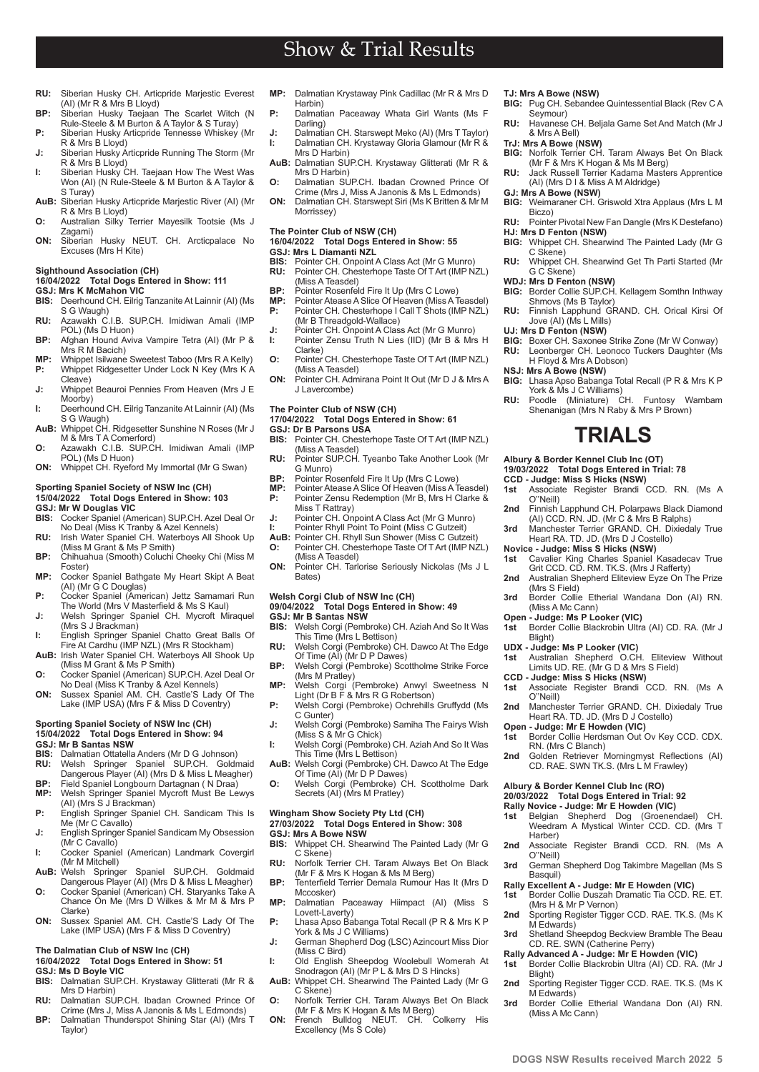- **RU:** Siberian Husky CH. Articpride Marjestic Everest (AI) (Mr R & Mrs B Lloyd)
- **BP:** Siberian Husky Taejaan The Scarlet Witch (N Rule-Steele & M Burton & A Taylor & S Turay) **P:** Siberian Husky Articpride Tennesse Whiskey (Mr
- R & Mrs B Lloyd) **J:** Siberian Husky Articpride Running The Storm (Mr
- R & Mrs B Lloyd) **I:** Siberian Husky CH. Taejaan How The West Was Won (AI) (N Rule-Steele & M Burton & A Taylor & S Turay)
- **AuB:** Siberian Husky Articpride Marjestic River (AI) (Mr R & Mrs B Lloyd)
- **O:** Australian Silky Terrier Mayesilk Tootsie (Ms J Zagami)
- **ON:** Siberian Husky NEUT. CH. Arcticpalace No Excuses (Mrs H Kite)

## **Sighthound Association (CH)**

### **16/04/2022 Total Dogs Entered in Show: 111**

- **GSJ: Mrs K McMahon VIC**
- **BIS:** Deerhound CH. Eilrig Tanzanite At Lainnir (AI) (Ms S G Waugh)
- **RU:** Azawakh C.I.B. SUP.CH. Imidiwan Amali (IMP POL) (Ms D Huon) **BP:** Afghan Hound Aviva Vampire Tetra (AI) (Mr P &
- Mrs R M Bacich)
- **MP:** Whippet Isilwane Sweetest Taboo (Mrs R A Kelly)<br>**P:** Whippet Ridgesetter Under Lock N Key (Mrs K A Whippet Ridgesetter Under Lock N Key (Mrs K A Cleave)
- **J:** Whippet Beauroi Pennies From Heaven (Mrs J E Moorby)
- **I:** Deerhound CH. Eilrig Tanzanite At Lainnir (AI) (Ms
- S G Waugh) **AuB:** Whippet CH. Ridgesetter Sunshine N Roses (Mr J M & Mrs T A Comerford)
- **O:** Azawakh C.I.B. SUP.CH. Imidiwan Amali (IMP POL) (Ms D Huon) **ON:** Whippet CH. Ryeford My Immortal (Mr G Swan)
- **Sporting Spaniel Society of NSW Inc (CH)**

## **15/04/2022 Total Dogs Entered in Show: 103 GSJ: Mr W Douglas VIC**

- **BIS:** Cocker Spaniel (American) SUP.CH. Azel Deal Or No Deal (Miss K Tranby & Azel Kennels) **RU:** Irish Water Spaniel CH. Waterboys All Shook Up
- (Miss M Grant & Ms P Smith)
- **BP:** Chihuahua (Smooth) Coluchi Cheeky Chi (Miss M Foster) **MP:** Cocker Spaniel Bathgate My Heart Skipt A Beat
- (AI) (Mr G C Douglas)
- **P:** Cocker Spaniel (American) Jettz Samamari Run The World (Mrs V Masterfield & Ms S Kaul) **J:** Welsh Springer Spaniel CH. Mycroft Miraquel (Mrs S J Brackman)
- 
- **I:** English Springer Spaniel Chatto Great Balls Of<br>Fire At Cardhu (IMP NZL) (Mrs R Stockham)<br>**AuB:** Irish Water Spaniel CH. Waterboys All Shook Up (Miss M Grant & Ms P Smith)
- **O:** Cocker Spaniel (American) SUP.CH. Azel Deal Or
- No Deal (Miss K Tranby & Azel Kennels) **ON:** Sussex Spaniel AM. CH. Castle'S Lady Of The Lake (IMP USA) (Mrs F & Miss D Coventry)

## **Sporting Spaniel Society of NSW Inc (CH) 15/04/2022 Total Dogs Entered in Show: 94 GSJ: Mr B Santas NSW**

- 
- **BIS:** Dalmatian Ottatella Anders (Mr D G Johnson) **RU:** Welsh Springer Spaniel SUP.CH. Goldmaid Dangerous Player (AI) (Mrs D & Miss L Meagher)
- **BP:** Field Spaniel Longbourn Dartagnan (N Draa)<br>**MP:** Welsh Springer Spaniel Mycroft Must Be Le
- Welsh Springer Spaniel Mycroft Must Be Lewys (AI) (Mrs S J Brackman)
- **P:** English Springer Spaniel CH. Sandicam This Is Me (Mr C Cavallo)
- **J:** English Springer Spaniel Sandicam My Obsession (Mr C Cavallo)
- **I:** Cocker Spaniel (American) Landmark Covergirl (Mr M Mitchell) **AuB:** Welsh Springer Spaniel SUP.CH. Goldmaid
- Dangerous Player (AI) (Mrs D & Miss L Meagher) **O:** Cocker Spaniel (American) CH. Staryanks Take A
- Chance On Me (Mrs D Wilkes & Mr M & Mrs P Clarke)
- **ON:** Sussex Spaniel AM. CH. Castle'S Lady Of The Lake (IMP USA) (Mrs F & Miss D Coventry)

## **The Dalmatian Club of NSW Inc (CH)**

- **16/04/2022 Total Dogs Entered in Show: 51**
- **GSJ: Ms D Boyle VIC**

**4 www.dogsnsw.org.au DOGS NSW Results received March 2022 5**

- Dalmatian SUP.CH. Krystaway Glitterati (Mr R & Mrs D Harbin) **RU:** Dalmatian SUP.CH. Ibadan Crowned Prince Of
- Crime (Mrs J, Miss A Janonis & Ms L Edmonds)
- **BP:** Dalmatian Thunderspot Shining Star (AI) (Mrs T Taylor)

**MP:** Dalmatian Krystaway Pink Cadillac (Mr R & Mrs D Harbin)

Show & Trial Results

- **P:** Dalmatian Paceaway Whata Girl Wants (Ms F Darling)
- **J:** Dalmatian CH. Starswept Meko (AI) (Mrs T Taylor)<br>**I:** Dalmatian CH. Krystaway Gloria Glamour (Mr R & Dalmatian CH. Krystaway Gloria Glamour (Mr R & Mrs D Harbin)
- **AuB:** Dalmatian SUP.CH. Krystaway Glitterati (Mr R & Mrs D Harbin)
- **O:** Dalmatian SUP.CH. Ibadan Crowned Prince Of Crime (Mrs J, Miss A Janonis & Ms L Edmonds)
- **ON:** Dalmatian CH. Starswept Siri (Ms K Britten & Mr M Morrissey)

## **The Pointer Club of NSW (CH)**

**16/04/2022 Total Dogs Entered in Show: 55 GSJ: Mrs L Diamanti NZL<br>BIS:** Pointer CH Onpoint A

- **BIS:** Pointer CH. Onpoint A Class Act (Mr G Munro)<br>**RU:** Pointer CH. Chesterhope Taste Of T Art (IMP N) **RU:** Pointer CH. Chesterhope Taste Of T Art (IMP NZL) (Miss A Teasdel)
- 
- **BP:** Pointer Rosenfeld Fire It Up (Mrs C Lowe) **MP:** Pointer Atease A Slice Of Heaven (Miss A Teasdel) **P:** Pointer CH. Chesterhope I Call T Shots (IMP NZL) (Mr B Threadgold-Wallace)
- **J:** Pointer CH. Onpoint A Class Act (Mr G Munro) **I:** Pointer Zensu Truth N Lies (IID) (Mr B & Mrs H
- Clarke) **O:** Pointer CH. Chesterhope Taste Of T Art (IMP NZL)
- (Miss A Teasdel) **ON:** Pointer CH. Admirana Point It Out (Mr D J & Mrs A
- J Lavercombe)

#### **The Pointer Club of NSW (CH) 17/04/2022 Total Dogs Entered in Show: 61**

# **GSJ: Dr B Parsons USA<br>BIS:** Pointer CH. Chester

- Pointer CH. Chesterhope Taste Of T Art (IMP NZL)
- (Miss A Teasdel) **RU:** Pointer SUP.CH. Tyeanbo Take Another Look (Mr G Munro)
- **BP:** Pointer Rosenfeld Fire It Up (Mrs C Lowe)<br>**MP:** Pointer Atease A Slice Of Heaven (Miss A T
- **MP:** Pointer Atease A Slice Of Heaven (Miss A Teasdel) Pointer Zensu Redemption (Mr B, Mrs H Clarke & Miss T Rattray)
- **J:** Pointer CH. Onpoint A Class Act (Mr G Munro)
- **I:** Pointer Rhyll Point To Point (Miss C Gutzeit) **AuB:** Pointer CH. Rhyll Sun Shower (Miss C Gutzeit) **O:** Pointer CH. Chesterhope Taste Of T Art (IMP NZL)
- (Miss A Teasdel) **ON:** Pointer CH. Tarlorise Seriously Nickolas (Ms J L Bates)

## **Welsh Corgi Club of NSW Inc (CH)**

## **09/04/2022 Total Dogs Entered in Show: 49 GSJ: Mr B Santas NSW**<br>**BIS:** Welsh Corgi (Pemb

- **BIS:** Welsh Corgi (Pembroke) CH. Aziah And So It Was This Time (Mrs L Bettison)
- **RU:** Welsh Corgi (Pembroke) CH. Dawco At The Edge Of Time (AI) (Mr D P Dawes) **BP:** Welsh Corgi (Pembroke) Scottholme Strike Force
- (Mrs M Pratley)
- **MP:** Welsh Corgi (Pembroke) Anwyl Sweetness N Light (Dr B F & Mrs R G Robertson) **P:** Welsh Corgi (Pembroke) Ochrehills Gruffydd (Ms
- C Gunter)
- **J:** Welsh Corgi (Pembroke) Samiha The Fairys Wish (Miss S & Mr G Chick) **I:** Welsh Corgi (Pembroke) CH. Aziah And So It Was
- This Time (Mrs L Bettison)
- **AuB:** Welsh Corgi (Pembroke) CH. Dawco At The Edge Of Time (AI) (Mr D P Dawes) **O:** Welsh Corgi (Pembroke) CH. Scottholme Dark
- Secrets (AI) (Mrs M Pratley)

#### **Wingham Show Society Pty Ltd (CH) 27/03/2022 Total Dogs Entered in Show: 308**

- **GSJ: Mrs A Bowe NSW**
- **BIS:** Whippet CH. Shearwind The Painted Lady (Mr G C Skene)
- **RU:** Norfolk Terrier CH. Taram Always Bet On Black (Mr F & Mrs K Hogan & Ms M Berg) **BP:** Tenterfield Terrier Demala Rumour Has It (Mrs D
- Mccosker)
- **MP:** Dalmatian Paceaway Hiimpact (AI) (Miss S Lovett-Laverty)
- **P:** Lhasa Apso Babanga Total Recall (P R & Mrs K P York & Ms J C Williams) **J:** German Shepherd Dog (LSC) Azincourt Miss Dior
- (Miss C Bird)
- **I:** Old English Sheepdog Woolebull Womerah At Snodragon (AI) (Mr P L & Mrs D S Hincks) **AuB:** Whippet CH. Shearwind The Painted Lady (Mr G
- C Skene) **O:** Norfolk Terrier CH. Taram Always Bet On Black
- (Mr F & Mrs K Hogan & Ms M Berg)<br>French Bulldog NEUT. CH. Colkerry His **ON:** French Bulldog NEUT. CH. Colkerry His Excellency (Ms S Cole)

### **TJ: Mrs A Bowe (NSW)**

- **BIG:** Pug CH. Sebandee Quintessential Black (Rev C A Seymour)
- **RU:** Havanese CH. Beljala Game Set And Match (Mr J & Mrs A Bell)
- **TrJ: Mrs A Bowe (NSW)**
- **BIG:** Norfolk Terrier CH. Taram Always Bet On Black (Mr F & Mrs K Hogan & Ms M Berg) **RU:** Jack Russell Terrier Kadama Masters Apprentice
- (AI) (Mrs D I & Miss A M Aldridge)
- **GJ: Mrs A Bowe (NSW)**

**HJ: Mrs D Fenton (NSW)**

**WDJ: Mrs D Fenton (NSW)**

Shmovs (Ms B Taylor)

Jove (AI) (Ms L Mills) **UJ: Mrs D Fenton (NSW)**

H Floyd & Mrs A Dobson) **NSJ: Mrs A Bowe (NSW)**

**Albury & Border Kennel Club Inc (OT) 19/03/2022 Total Dogs Entered in Trial: 78 CCD - Judge: Miss S Hicks (NSW)**<br>**1st** Associate Register Brandi

O''Neill)

(Mrs S Field)

Blight)

O''Neill)

Harber)

O''Neill)

Basquil)

M Edwards)

M Edwards)

(Miss A Mc Cann)

Blight)

(Miss A Mc Cann) **Open - Judge: Ms P Looker (VIC)**<br>1st Border Collie Blackrobin Ultra

**CCD - Judge: Miss S Hicks (NSW)**

RN. (Mrs C Blanch)

**Albury & Border Kennel Club Inc (RO) 20/03/2022 Total Dogs Entered in Trial: 92 Rally Novice - Judge: Mr E Howden (VIC)**<br>**1st** Belgian Shepherd Dog (Groener

C Skene)

**BIG:** Weimaraner CH. Griswold Xtra Applaus (Mrs L M Biczo) **RU:** Pointer Pivotal New Fan Dangle (Mrs K Destefano)

**BIG:** Whippet CH. Shearwind The Painted Lady (Mr G

**RU:** Whippet CH. Shearwind Get Th Parti Started (Mr G C Skene)

**BIG:** Border Collie SUP.CH. Kellagem Somthn Inthway

**BIG:** Boxer CH. Saxonee Strike Zone (Mr W Conway) **RU:** Leonberger CH. Leonoco Tuckers Daughter (Ms

**BIG:** Lhasa Apso Babanga Total Recall (P R & Mrs K P York & Ms J C Williams) **RU:** Poodle (Miniature) CH. Funtosy Wambam Shenanigan (Mrs N Raby & Mrs P Brown)

**TRIALS**

**2nd** Finnish Lapphund CH. Polarpaws Black Diamond (AI) CCD. RN. JD. (Mr C & Mrs B Ralphs) **3rd** Manchester Terrier GRAND. CH. Dixiedaly True Heart RA. TD. JD. (Mrs D J Costello) **Novice - Judge: Miss S Hicks (NSW)**

**1st** Cavalier King Charles Spaniel Kasadecav True Grit CCD. CD. RM. TK.S. (Mrs J Rafferty) **2nd** Australian Shepherd Eliteview Eyze On The Prize

3rd Border Collie Etherial Wandana Don (AI) RN.

**UDX - Judge: Ms P Looker (VIC) 1st** Australian Shepherd O.CH. Eliteview Without Limits UD. RE. (Mr G D & Mrs S Field)

2nd Manchester Terrier GRAND. CH. Dixiedaly True Heart RA. TD. JD. (Mrs D J Costello) **Open - Judge: Mr E Howden (VIC) 1st** Border Collie Herdsman Out Ov Key CCD. CDX.

**2nd** Golden Retriever Morningmyst Reflections (AI)<br>CD. RAE. SWN TK.S. (Mrs L M Frawley)

**1st** Belgian Shepherd Dog (Groenendael) CH. Weedram A Mystical Winter CCD. CD. (Mrs T

**2nd** Associate Register Brandi CCD. RN. (Ms A

3rd German Shepherd Dog Takimbre Magellan (Ms S

**3rd** Shetland Sheepdog Beckview Bramble The Beau CD. RE. SWN (Catherine Perry) **Rally Advanced A - Judge: Mr E Howden (VIC)**

**2nd** Sporting Register Tigger CCD. RAE. TK.S. (Ms K

**3rd** Border Collie Etherial Wandana Don (AI) RN.

**1st** Border Collie Blackrobin Ultra (AI) CD. RA. (Mr J

**Rally Excellent A - Judge: Mr E Howden (VIC) 1st** Border Collie Duszah Dramatic Tia CCD. RE. ET. (Mrs H & Mr P Vernon) 2nd Sporting Register Tigger CCD. RAE. TK.S. (Ms K

**1st** Border Collie Blackrobin Ultra (AI) CD. RA. (Mr J

**1st** Associate Register Brandi CCD. RN. (Ms A

**1st** Associate Register Brandi CCD. RN. (Ms A

**RU:** Finnish Lapphund GRAND. CH. Orical Kirsi Of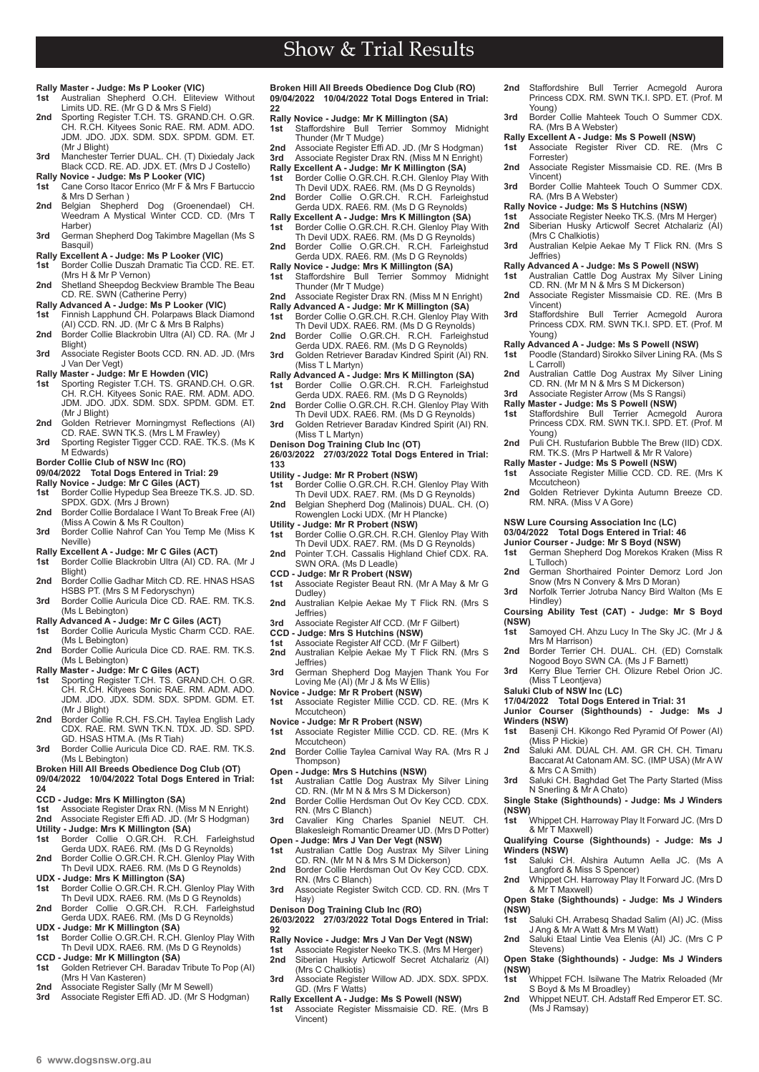- **Rally Master Judge: Ms P Looker (VIC) 1st** Australian Shepherd O.CH. Eliteview Without
- Limits UD. RE. (Mr G D & Mrs S Field) **2nd** Sporting Register T.CH. TS. GRAND.CH. O.GR. CH. R.CH. Kityees Sonic RAE. RM. ADM. ADO. JDM. JDO. JDX. SDM. SDX. SPDM. GDM. ET.
- (Mr J Blight) **3rd** Manchester Terrier DUAL. CH. (T) Dixiedaly Jack
- Black CCD. RE. AD. JDX. ET. (Mrs D J Costello) **Rally Novice - Judge: Ms P Looker (VIC)**
- **1st** Cane Corso Itacor Enrico (Mr F & Mrs F Bartuccio & Mrs D Serhan )
- **2nd** Belgian Shepherd Dog (Groenendael) CH. Weedram A Mystical Winter CCD. CD. (Mrs T Harber)
- **3rd** German Shepherd Dog Takimbre Magellan (Ms S Basquil)
- **Rally Excellent A Judge: Ms P Looker (VIC)**
- **1st** Border Collie Duszah Dramatic Tia CCD. RE. ET. (Mrs H & Mr P Vernon)
- 2nd Shetland Sheepdog Beckview Bramble The Beau CD. RE. SWN (Catherine Perry)
- **Rally Advanced A Judge: Ms P Looker (VIC) 1st** Finnish Lapphund CH. Polarpaws Black Diamond
- (AI) CCD. RN. JD. (Mr C & Mrs B Ralphs) 2nd Border Collie Blackrobin Ultra (AI) CD. RA. (Mr J
- Blight) **3rd** Associate Register Boots CCD. RN. AD. JD. (Mrs
- J Van Der Vegt)
- **Rally Master Judge: Mr E Howden (VIC) 1st** Sporting Register T.CH. TS. GRAND.CH. O.GR.
- CH. R.CH. Kityees Sonic RAE. RM. ADM. ADO. JDM. JDO. JDX. SDM. SDX. SPDM. GDM. ET. (Mr J Blight)
- **2nd** Golden Retriever Morningmyst Reflections (AI) CD. RAE. SWN TK.S. (Mrs L M Frawley) 3rd Sporting Register Tigger CCD. RAE. TK.S. (Ms K
- M Edwards) **Border Collie Club of NSW Inc (RO)**
- **09/04/2022 Total Dogs Entered in Trial: 29**
- **Rally Novice Judge: Mr C Giles (ACT)**
- **1st** Border Collie Hypedup Sea Breeze TK.S. JD. SD.
- SPDX. GDX. (Mrs J Brown) **2nd** Border Collie Bordalace I Want To Break Free (AI) (Miss A Cowin & Ms R Coulton) 3rd Border Collie Nahrof Can You Temp Me (Miss K
- Neville)
- **Rally Excellent A Judge: Mr C Giles (ACT)** Border Collie Blackrobin Ultra (AI) CD. RA. (Mr J
- Blight) 2nd Border Collie Gadhar Mitch CD, RF, HNAS HSAS
- HSBS PT. (Mrs S M Fedoryschyn) **3rd** Border Collie Auricula Dice CD. RAE. RM. TK.S.
- (Ms L Bebington) **Rally Advanced A - Judge: Mr C Giles (ACT)**
- Border Collie Auricula Mystic Charm CCD. RAE. (Ms L Bebington)
- 2nd Border Collie Auricula Dice CD. RAE. RM. TK.S. (Ms L Bebington)
- **Rally Master Judge: Mr C Giles (ACT)**
- **1st** Sporting Register T.CH. TS. GRAND.CH. O.GR. CH. R.CH. Kityees Sonic RAE. RM. ADM. ADO. JDM. JDO. JDX. SDM. SDX. SPDM. GDM. ET. (Mr J Blight)
- **2nd** Border Collie R.CH. FS.CH. Taylea English Lady CDX. RAE. RM. SWN TK.N. TDX. JD. SD. SPD. GD. HSAS HTM.A. (Ms R Tiah)
- **3rd** Border Collie Auricula Dice CD. RAE. RM. TK.S. (Ms L Bebington)
- **Broken Hill All Breeds Obedience Dog Club (OT) 09/04/2022 10/04/2022 Total Dogs Entered in Trial:**
- **24**
- **CCD Judge: Mrs K Millington (SA)**
- **1st** Associate Register Drax RN. (Miss M N Enright) **2nd** Associate Register Effi AD. JD. (Mr S Hodgman)
- **Utility Judge: Mrs K Millington (SA)** Border Collie O.GR.CH. R.CH. Farleighstud
- Gerda UDX. RAE6. RM. (Ms D G Reynolds) **2nd** Border Collie O.GR.CH. R.CH. Glenloy Play With
- Th Devil UDX. RAE6. RM. (Ms D G Reynolds) **UDX - Judge: Mrs K Millington (SA)**
- **1st** Border Collie O.GR.CH. R.CH. Glenloy Play With Th Devil UDX. RAE6. RM. (Ms D G Reynolds)
- **2nd** Border Collie O.GR.CH. R.CH. Farleighstud Gerda UDX. RAE6. RM. (Ms D G Reynolds)
- **UDX Judge: Mr K Millington (SA) 1st** Border Collie O.GR.CH. R.CH. Glenloy Play With
- Th Devil UDX. RAE6. RM. (Ms D G Reynolds)
- **CCD Judge: Mr K Millington (SA) 1st** Golden Retriever CH. Baradav Tribute To Pop (AI) (Mrs H Van Kasteren)
- 
- **2nd** Associate Register Sally (Mr M Sewell) **3rd** Associate Register Effi AD. JD. (Mr S Hodgman)

**Broken Hill All Breeds Obedience Dog Club (RO) 09/04/2022 10/04/2022 Total Dogs Entered in Trial: 22**

Show & Trial Results

- **Rally Novice Judge: Mr K Millington (SA)<br>1st Staffordshire Bull Terrier Sommoy Midnight<br>Thunder (Mr T Mudge)<br><b>2nd** Associate Register Effi AD. JD. (Mr S Hodgman)
- 
- **3rd** Associate Register Drax RN. (Miss M N Enright)
- **Rally Excellent A Judge: Mr K Millington (SA)** Border Collie O.GR.CH. R.CH. Glenloy Play With Th Devil UDX. RAE6. RM. (Ms D G Reynolds) **2nd** Border Collie O.GR.CH. R.CH. Farleighstud
- Gerda UDX. RAE6. RM. (Ms D G Reynolds)
- **Rally Excellent A Judge: Mrs K Millington (SA) 1st** Border Collie O.GR.CH. R.CH. Glenloy Play With
- Th Devil UDX. RAE6. RM. (Ms D G Reynolds) **2nd** Border Collie O.GR.CH. R.CH. Farleighstud Gerda UDX. RAE6. RM. (Ms D G Reynolds)
- **Rally Novice Judge: Mrs K Millington (SA) 1st** Staffordshire Bull Terrier Sommoy Midnight Thunder (Mr T Mudge)
- **2nd** Associate Register Drax RN. (Miss M N Enright)
- **Rally Advanced A Judge: Mr K Millington (SA) 1st** Border Collie O.GR.CH. R.CH. Glenloy Play With Th Devil UDX. RAE6. RM. (Ms D G Reynolds)
- **2nd** Border Collie O.GR.CH. R.CH. Farleighstud Gerda UDX. RAE6. RM. (Ms D G Reynolds)
- **3rd** Golden Retriever Baradav Kindred Spirit (AI) RN. (Miss T L Martyn)
- 
- Rally Advanced A Judge: Mrs K Millington (SA)<br>1st Border Collie O.GR.CH. R.CH. Farleighstud<br>Gerda UDX. RAE6. R.M. (Ms D G Reynolds)<br>2nd Border Collie O.GR.CH. R.CH. Glenloy Play With<br>10 Th Devil UDX. RAE6. RM. (Ms D G Re
- **3rd** Golden Retriever Baradav Kindred Spirit (AI) RN.
- (Miss T<sub>I</sub> Martyn)

**Denison Dog Training Club Inc (OT) 26/03/2022 27/03/2022 Total Dogs Entered in Trial: 133**

- 
- **Utility Judge: Mr R Probert (NSW) 1st** Border Collie O.GR.CH. R.CH. Glenloy Play With
- Th Devil UDX. RAE7. RM. (Ms D G Reynolds) **2nd** Belgian Shepherd Dog (Malinois) DUAL. CH. (O) Rowenglen Locki UDX. (Mr H Plancke)
- 
- 
- **Utility Judge: Mr R Probert (NSW)**<br>1st Border Collie O.GR.CH. R.CH. Glenloy Play With<br>Th Devil UDX. RAE7. RM. (Ms D G Reynolds) **2nd** Pointer T.CH. Cassalis Highland Chief CDX. RA.
- SWN ORA. (Ms D Leadle)
- **CCD Judge: Mr R Probert (NSW) 1st** Associate Register Beaut RN. (Mr A May & Mr G Dudley)
- **2nd** Australian Kelpie Aekae My T Flick RN. (Mrs S Jeffries)
- **3rd** Associate Register Alf CCD. (Mr F Gilbert)
- **CCD Judge: Mrs S Hutchins (NSW)**<br>1st Associate Register Alf CCD. (Mr)
- **1st** Associate Register Alf CCD. (Mr F Gilbert)<br>**2nd** Australian Kelpie Aekae My T Flick RN
- **2nd** Australian Kelpie Aekae My T Flick RN. (Mrs S Jeffries)
- **3rd** German Shepherd Dog Mayjen Thank You For Loving Me (AI) (Mr J & Ms W Ellis)
- **Novice Judge: Mr R Probert (NSW)**<br>**1st** Associate Register Millie CCD. **1st** Associate Register Millie CCD. CD. RE. (Mrs K Mccutcheon)
- **Novice Judge: Mr R Probert (NSW)**
- **1st** Associate Register Millie CCD. CD. RE. (Mrs K
- Mccutcheon) 2nd Border Collie Taylea Carnival Way RA. (Mrs R J Thompson)
- 
- **Open Judge: Mrs S Hutchins (NSW)**<br>1st Australian Cattle Dog Austrax M **1st** Australian Cattle Dog Austrax My Silver Lining CD. RN. (Mr M N & Mrs S M Dickerson)
- **2nd** Border Collie Herdsman Out Ov Key CCD. CDX. RN. (Mrs C Blanch)
- **3rd** Cavalier King Charles Spaniel NEUT. CH. Blakesleigh Romantic Dreamer UD. (Mrs D Potter)
- **Open Judge: Mrs J Van Der Vegt (NSW)**<br>1st Australian Cattle Dog Austrax My S **1st** Australian Cattle Dog Austrax My Silver Lining
- CD. RN. (Mr M N & Mrs S M Dickerson) 2nd Border Collie Herdsman Out Ov Key CCD. CDX. RN. (Mrs C Blanch)
- **3rd** Associate Register Switch CCD. CD. RN. (Mrs T Hay)
- **Denison Dog Training Club Inc (RO)**
- **26/03/2022 27/03/2022 Total Dogs Entered in Trial: 92**

## **Rally Novice - Judge: Mrs J Van Der Vegt (NSW)**

- Associate Register Neeko TK.S. (Mrs M Herger) **2nd** Siberian Husky Articwolf Secret Atchalariz (AI) (Mrs C Chalkiotis)
- **3rd** Associate Register Willow AD. JDX. SDX. SPDX. GD. (Mrs F Watts)
- **Rally Excellent A Judge: Ms S Powell (NSW)**
- **1st** Associate Register Missmaisie CD. RE. (Mrs B Vincent)
- **2nd** Staffordshire Bull Terrier Acmegold Aurora Princess CDX. RM. SWN TK.I. SPD. ET. (Prof. M Young)
- **3rd** Border Collie Mahteek Touch O Summer CDX. RA. (Mrs B A Webster) **Rally Excellent A - Judge: Ms S Powell (NSW) 1st** Associate Register River CD. RE. (Mrs C

**2nd** Associate Register Missmaisie CD. RE. (Mrs B

**3rd** Border Collie Mahteek Touch O Summer CDX.

**3rd** Australian Kelpie Aekae My T Flick RN. (Mrs S

**Rally Advanced A - Judge: Ms S Powell (NSW) 1st** Australian Cattle Dog Austrax My Silver Lining CD. RN. (Mr M N & Mrs S M Dickerson) **2nd** Associate Register Missmaisie CD. RE. (Mrs B

**3rd** Staffordshire Bull Terrier Acmegold Aurora Princess CDX. RM. SWN TK.I. SPD. ET. (Prof. M

**2nd** Australian Cattle Dog Austrax My Silver Lining CD. RN. (Mr M N & Mrs S M Dickerson) **3rd** Associate Register Arrow (Ms S Rangsi)

**Rally Master - Judge: Ms S Powell (NSW)**<br>1st Staffordshire Bull Terrier Acmegold Aurora<br>Princess CDX. RM. SWN TK.I. SPD. ET. (Prof. M Young) **2nd** Puli CH. Rustufarion Bubble The Brew (IID) CDX. RM. TK.S. (Mrs P Hartwell & Mr R Valore) **Rally Master - Judge: Ms S Powell (NSW) 1st** Associate Register Millie CCD. CD. RE. (Mrs K

**2nd** Golden Retriever Dykinta Autumn Breeze CD. RM. NRA. (Miss V A Gore)

2nd German Shorthaired Pointer Demorz Lord Jon Snow (Mrs N Convery & Mrs D Moran) **3rd** Norfolk Terrier Jotruba Nancy Bird Walton (Ms E

**Coursing Ability Test (CAT) - Judge: Mr S Boyd** 

**1st** German Shepherd Dog Morekos Kraken (Miss R

**1st** Samoyed CH. Ahzu Lucy In The Sky JC. (Mr J & Mrs M Harrison) **2nd** Border Terrier CH. DUAL. CH. (ED) Cornstalk Nogood Boyo SWN CA. (Ms J F Barnett) **3rd** Kerry Blue Terrier CH. Olizure Rebel Orion JC.

Basenji CH. Kikongo Red Pyramid Of Power (AI)

2nd Saluki AM. DUAL CH. AM. GR CH. CH. Timaru Baccarat At Catonam AM. SC. (IMP USA) (Mr A W

**3rd** Saluki CH. Baghdad Get The Party Started (Miss N Snerling & Mr A Chato) **Single Stake (Sighthounds) - Judge: Ms J Winders** 

**1st** Whippet CH. Harroway Play It Forward JC. (Mrs D

**Qualifying Course (Sighthounds) - Judge: Ms J** 

**2nd** Whippet CH. Harroway Play It Forward JC. (Mrs D

Open Stake (Sighthounds) - Judge: Ms J Winders

**1st** Saluki CH. Arrabesq Shadad Salim (AI) JC. (Miss J Ang & Mr A Watt & Mrs M Watt) **2nd** Saluki Etaal Lintie Vea Elenis (AI) JC. (Mrs C P

**Open Stake (Sighthounds) - Judge: Ms J Winders** 

2nd Whippet NEUT. CH. Adstaff Red Emperor ET. SC

**1st** Whippet FCH. Isilwane The Matrix Reloaded (Mr

**1st** Saluki CH. Alshira Autumn Aella JC. (Ms A

**NSW Lure Coursing Association Inc (LC) 03/04/2022 Total Dogs Entered in Trial: 46 Junior Courser - Judge: Mr S Boyd (NSW)**<br>**1st** German Shepherd Dog Morekos Krake

**Rally Advanced A - Judge: Ms S Powell (NSW) 1st** Poodle (Standard) Sirokko Silver Lining RA. (Ms S

Forrester)

Vincent)

Jeffries)

Vincent)

Young)

L Carroll)

Mccutcheon)

L Tulloch)

Hindley)

**Winders (NSW)**

**Winders (NSW)**<br>1st Saluki Ch

**(NSW)**

**(NSW)**

**(NSW)**

(Miss T Leontjeva) **Saluki Club of NSW Inc (LC)** 

(Miss P Hickie)

& Mrs C A Smith)

& Mr T Maxwell)

& Mr T Maxwell)

Stevens)

(Ms J Ramsay)

Langford & Miss S Spencer)

S Boyd & Ms M Broadley)

**17/04/2022 Total Dogs Entered in Trial: 31 Junior Courser (Sighthounds) - Judge: Ms J** 

**(NSW)**

RA. (Mrs B A Webster) **Rally Novice - Judge: Ms S Hutchins (NSW) 1st** Associate Register Neeko TK.S. (Mrs M Herger) **2nd** Siberian Husky Articwolf Secret Atchalariz (AI)

(Mrs C Chalkiotis)

**6 www.dogsnsw.org.au DOGS NSW Results received March 2022 7**